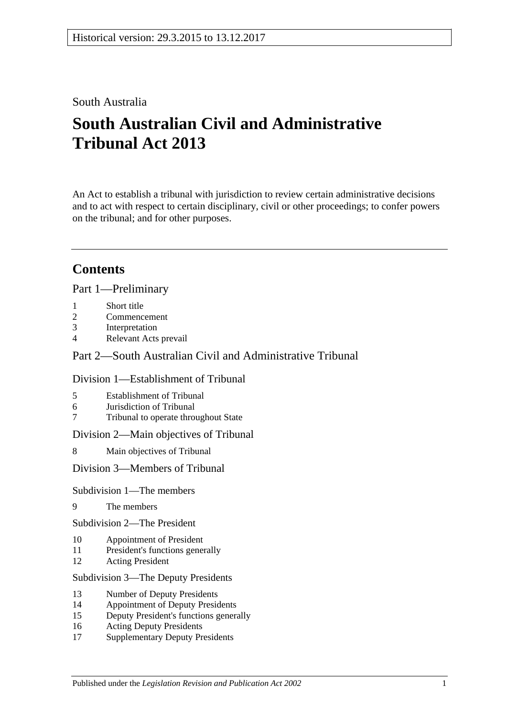## South Australia

# **South Australian Civil and Administrative Tribunal Act 2013**

An Act to establish a tribunal with jurisdiction to review certain administrative decisions and to act with respect to certain disciplinary, civil or other proceedings; to confer powers on the tribunal; and for other purposes.

# **Contents**

Part [1—Preliminary](#page-3-0)

- 1 [Short title](#page-3-1)
- 2 [Commencement](#page-3-2)
- 3 [Interpretation](#page-4-0)
- 4 [Relevant Acts prevail](#page-5-0)

## Part [2—South Australian Civil and Administrative Tribunal](#page-5-1)

## Division [1—Establishment of Tribunal](#page-5-2)

- 5 [Establishment of Tribunal](#page-5-3)
- 6 [Jurisdiction of Tribunal](#page-6-0)
- 7 [Tribunal to operate throughout State](#page-6-1)

Division [2—Main objectives of Tribunal](#page-6-2)

8 [Main objectives of Tribunal](#page-6-3)

Division [3—Members of Tribunal](#page-7-0)

#### Subdivision [1—The members](#page-7-1)

9 [The members](#page-7-2)

Subdivision [2—The President](#page-7-3)

- 10 [Appointment of President](#page-7-4)
- 11 [President's functions generally](#page-8-0)
- 12 [Acting President](#page-9-0)

#### Subdivision [3—The Deputy Presidents](#page-9-1)

- 13 [Number of Deputy Presidents](#page-9-2)
- 14 [Appointment of Deputy Presidents](#page-9-3)
- 15 [Deputy President's functions generally](#page-11-0)
- 16 [Acting Deputy Presidents](#page-11-1)
- 17 [Supplementary Deputy Presidents](#page-12-0)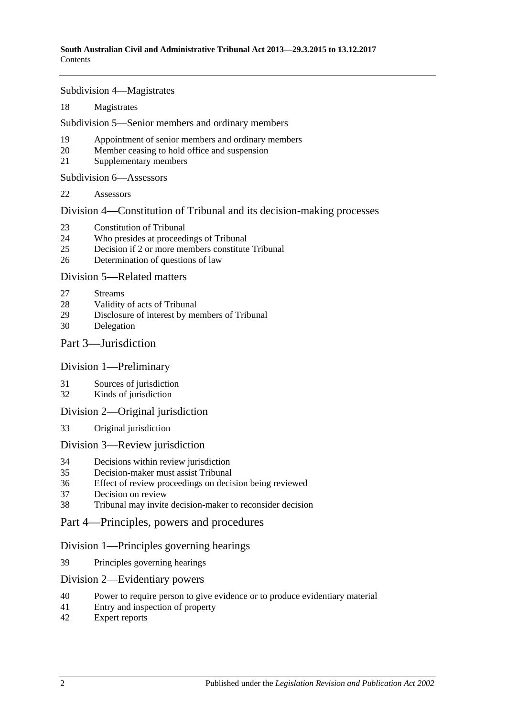Subdivision [4—Magistrates](#page-13-0)

[Magistrates](#page-13-1)

Subdivision [5—Senior members and ordinary members](#page-14-0)

- [Appointment of senior members and ordinary members](#page-14-1)
- [Member ceasing to hold office and suspension](#page-15-0)
- [Supplementary members](#page-16-0)

Subdivision [6—Assessors](#page-16-1)

[Assessors](#page-16-2)

Division [4—Constitution of Tribunal and its decision-making processes](#page-17-0)

- [Constitution of Tribunal](#page-17-1)
- [Who presides at proceedings of Tribunal](#page-18-0)
- [Decision if 2 or more members constitute Tribunal](#page-19-0)
- [Determination of questions of law](#page-19-1)

#### Division [5—Related matters](#page-19-2)

- [Streams](#page-19-3)
- [Validity of acts of Tribunal](#page-19-4)
- [Disclosure of interest by members of Tribunal](#page-19-5)
- [Delegation](#page-20-0)

### Part [3—Jurisdiction](#page-20-1)

#### Division [1—Preliminary](#page-20-2)

- [Sources of jurisdiction](#page-20-3)
- [Kinds of jurisdiction](#page-20-4)

#### Division [2—Original jurisdiction](#page-21-0)

[Original jurisdiction](#page-21-1)

#### Division [3—Review jurisdiction](#page-21-2)

- [Decisions within review jurisdiction](#page-21-3)<br>35 Decision-maker must assist Tribunal
- [Decision-maker must assist Tribunal](#page-22-0)
- [Effect of review proceedings on decision being reviewed](#page-23-0)
- [Decision on review](#page-23-1)
- [Tribunal may invite decision-maker to reconsider decision](#page-24-0)
- Part [4—Principles, powers and procedures](#page-24-1)

#### Division [1—Principles governing hearings](#page-24-2)

[Principles governing hearings](#page-24-3)

#### Division [2—Evidentiary powers](#page-25-0)

- [Power to require person to give evidence or to produce evidentiary material](#page-25-1)
- [Entry and inspection of property](#page-26-0)
- [Expert reports](#page-26-1)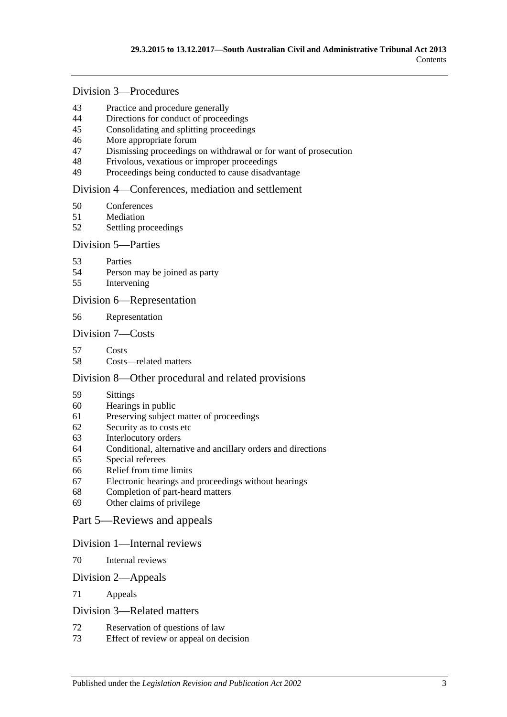## Division [3—Procedures](#page-26-2)

- [Practice and procedure generally](#page-26-3)<br>44 Directions for conduct of proceed
- [Directions for conduct of proceedings](#page-27-0)
- [Consolidating and splitting proceedings](#page-27-1)
- [More appropriate forum](#page-28-0)
- [Dismissing proceedings on withdrawal or for want of prosecution](#page-28-1)
- [Frivolous, vexatious or improper proceedings](#page-28-2)
- [Proceedings being conducted to cause disadvantage](#page-28-3)

#### Division [4—Conferences, mediation and settlement](#page-29-0)

- [Conferences](#page-29-1)
- [Mediation](#page-31-0)
- [Settling proceedings](#page-31-1)

#### Division [5—Parties](#page-32-0)

- [Parties](#page-32-1)
- [Person may be joined as party](#page-32-2)
- [Intervening](#page-32-3)

#### Division [6—Representation](#page-33-0)

[Representation](#page-33-1)

#### Division [7—Costs](#page-33-2)

- [Costs](#page-33-3)
- [Costs—related matters](#page-34-0)

#### Division [8—Other procedural and related provisions](#page-34-1)

- [Sittings](#page-34-2)
- [Hearings in public](#page-34-3)
- [Preserving subject matter of proceedings](#page-35-0)
- [Security as to costs etc](#page-36-0)
- [Interlocutory orders](#page-36-1)
- [Conditional, alternative and ancillary orders and directions](#page-36-2)
- [Special referees](#page-36-3)
- [Relief from time limits](#page-37-0)
- [Electronic hearings and proceedings without hearings](#page-37-1)
- [Completion of part-heard matters](#page-37-2)
- [Other claims of privilege](#page-37-3)

#### Part [5—Reviews and appeals](#page-37-4)

#### Division [1—Internal reviews](#page-37-5)

[Internal reviews](#page-37-6)

#### Division [2—Appeals](#page-38-0)

[Appeals](#page-38-1)

#### Division [3—Related matters](#page-39-0)

- [Reservation of questions of law](#page-39-1)
- [Effect of review or appeal on decision](#page-40-0)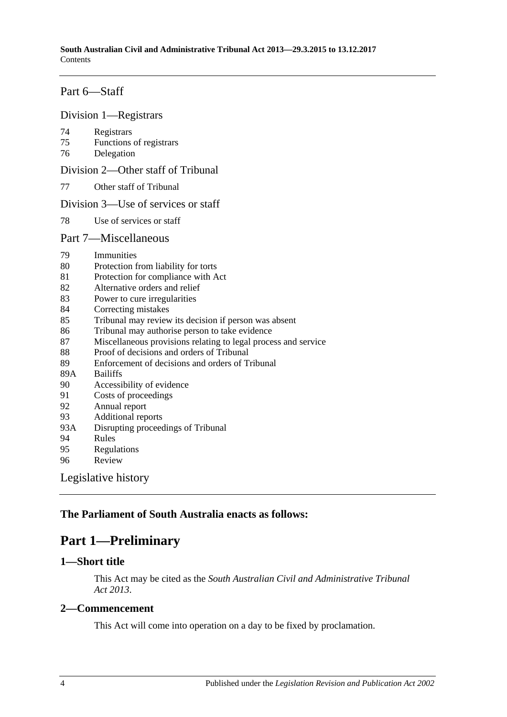## Part [6—Staff](#page-40-1)

#### Division [1—Registrars](#page-40-2)

- 74 [Registrars](#page-40-3)
- 75 [Functions of registrars](#page-41-0)
- 76 [Delegation](#page-41-1)

Division [2—Other staff of Tribunal](#page-41-2)

77 [Other staff of Tribunal](#page-41-3)

#### Division [3—Use of services or staff](#page-42-0)

78 [Use of services or staff](#page-42-1)

#### Part [7—Miscellaneous](#page-42-2)

- 79 [Immunities](#page-42-3)
- 80 [Protection from liability for torts](#page-42-4)
- 81 [Protection for compliance with Act](#page-42-5)
- 82 [Alternative orders and relief](#page-43-0)
- 83 [Power to cure irregularities](#page-43-1)
- 84 [Correcting mistakes](#page-43-2)
- 85 [Tribunal may review its decision if person was absent](#page-43-3)
- 86 [Tribunal may authorise person to take evidence](#page-44-0)
- 87 [Miscellaneous provisions relating to legal process and service](#page-44-1)
- 88 [Proof of decisions and orders of Tribunal](#page-45-0)
- 89 [Enforcement of decisions and orders of Tribunal](#page-45-1)
- 89A [Bailiffs](#page-45-2)
- 90 [Accessibility of evidence](#page-45-3)
- 91 [Costs of proceedings](#page-46-0)
- 92 [Annual report](#page-46-1)
- 93 [Additional reports](#page-46-2)
- 93A [Disrupting proceedings of Tribunal](#page-47-0)
- 94 [Rules](#page-47-1)
- 95 [Regulations](#page-48-0)
- 96 [Review](#page-48-1)

[Legislative history](#page-50-0)

## <span id="page-3-0"></span>**The Parliament of South Australia enacts as follows:**

## **Part 1—Preliminary**

#### <span id="page-3-1"></span>**1—Short title**

This Act may be cited as the *South Australian Civil and Administrative Tribunal Act 2013*.

#### <span id="page-3-2"></span>**2—Commencement**

This Act will come into operation on a day to be fixed by proclamation.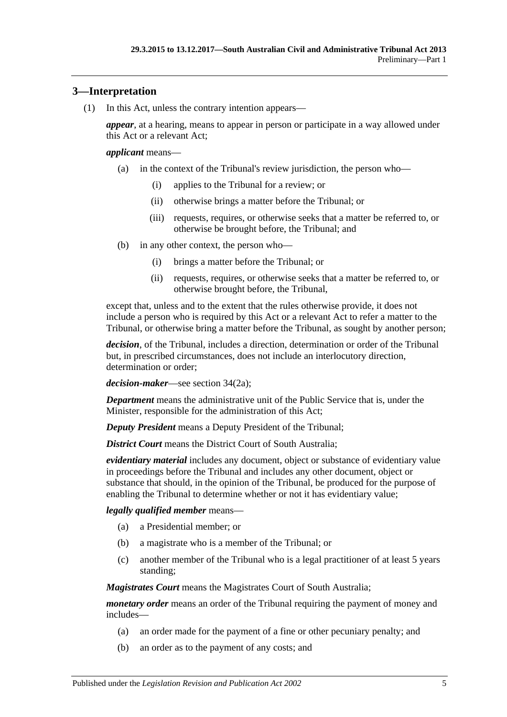## <span id="page-4-0"></span>**3—Interpretation**

(1) In this Act, unless the contrary intention appears—

*appear*, at a hearing, means to appear in person or participate in a way allowed under this Act or a relevant Act;

#### *applicant* means—

- (a) in the context of the Tribunal's review jurisdiction, the person who—
	- (i) applies to the Tribunal for a review; or
	- (ii) otherwise brings a matter before the Tribunal; or
	- (iii) requests, requires, or otherwise seeks that a matter be referred to, or otherwise be brought before, the Tribunal; and
- (b) in any other context, the person who—
	- (i) brings a matter before the Tribunal; or
	- (ii) requests, requires, or otherwise seeks that a matter be referred to, or otherwise brought before, the Tribunal,

except that, unless and to the extent that the rules otherwise provide, it does not include a person who is required by this Act or a relevant Act to refer a matter to the Tribunal, or otherwise bring a matter before the Tribunal, as sought by another person;

*decision*, of the Tribunal, includes a direction, determination or order of the Tribunal but, in prescribed circumstances, does not include an interlocutory direction, determination or order;

*decision-maker*—see [section](#page-21-4) 34(2a);

*Department* means the administrative unit of the Public Service that is, under the Minister, responsible for the administration of this Act;

*Deputy President* means a Deputy President of the Tribunal;

*District Court* means the District Court of South Australia:

*evidentiary material* includes any document, object or substance of evidentiary value in proceedings before the Tribunal and includes any other document, object or substance that should, in the opinion of the Tribunal, be produced for the purpose of enabling the Tribunal to determine whether or not it has evidentiary value;

#### *legally qualified member* means—

- (a) a Presidential member; or
- (b) a magistrate who is a member of the Tribunal; or
- (c) another member of the Tribunal who is a legal practitioner of at least 5 years standing;

*Magistrates Court* means the Magistrates Court of South Australia;

*monetary order* means an order of the Tribunal requiring the payment of money and includes—

- (a) an order made for the payment of a fine or other pecuniary penalty; and
- (b) an order as to the payment of any costs; and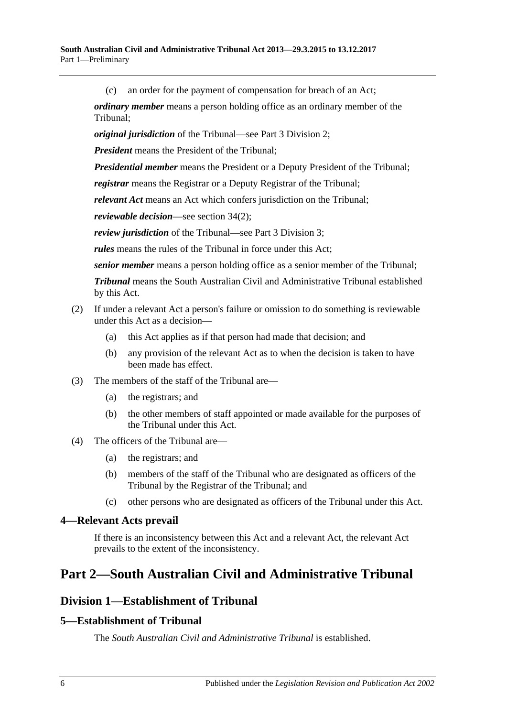(c) an order for the payment of compensation for breach of an Act;

*ordinary member* means a person holding office as an ordinary member of the Tribunal;

*original jurisdiction* of the Tribunal—see Part [3 Division](#page-21-0) 2;

*President* means the President of the Tribunal;

*Presidential member* means the President or a Deputy President of the Tribunal;

*registrar* means the Registrar or a Deputy Registrar of the Tribunal;

*relevant Act* means an Act which confers jurisdiction on the Tribunal;

*reviewable decision*—see section 34(2);

*review jurisdiction* of the Tribunal—see Part [3 Division](#page-21-2) 3;

*rules* means the rules of the Tribunal in force under this Act;

*senior member* means a person holding office as a senior member of the Tribunal;

*Tribunal* means the South Australian Civil and Administrative Tribunal established by this Act.

#### (2) If under a relevant Act a person's failure or omission to do something is reviewable under this Act as a decision—

- (a) this Act applies as if that person had made that decision; and
- (b) any provision of the relevant Act as to when the decision is taken to have been made has effect.
- (3) The members of the staff of the Tribunal are—
	- (a) the registrars; and
	- (b) the other members of staff appointed or made available for the purposes of the Tribunal under this Act.
- (4) The officers of the Tribunal are—
	- (a) the registrars; and
	- (b) members of the staff of the Tribunal who are designated as officers of the Tribunal by the Registrar of the Tribunal; and
	- (c) other persons who are designated as officers of the Tribunal under this Act.

#### <span id="page-5-0"></span>**4—Relevant Acts prevail**

If there is an inconsistency between this Act and a relevant Act, the relevant Act prevails to the extent of the inconsistency.

# <span id="page-5-2"></span><span id="page-5-1"></span>**Part 2—South Australian Civil and Administrative Tribunal**

## **Division 1—Establishment of Tribunal**

## <span id="page-5-3"></span>**5—Establishment of Tribunal**

The *South Australian Civil and Administrative Tribunal* is established.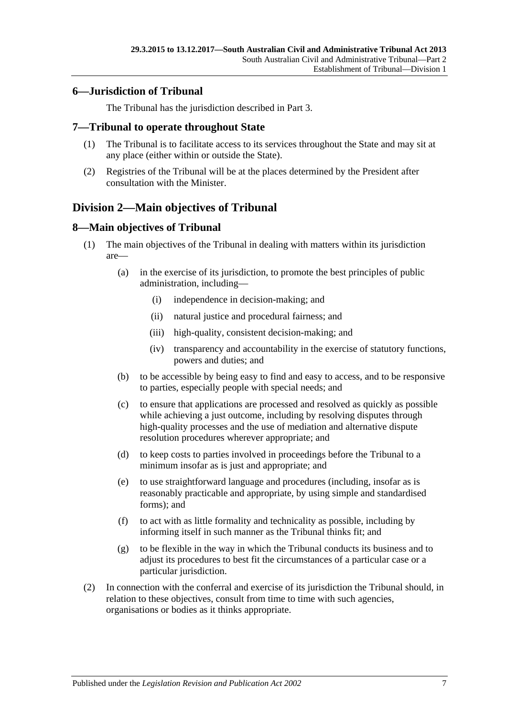## <span id="page-6-0"></span>**6—Jurisdiction of Tribunal**

The Tribunal has the jurisdiction described in [Part](#page-20-1) 3.

### <span id="page-6-1"></span>**7—Tribunal to operate throughout State**

- (1) The Tribunal is to facilitate access to its services throughout the State and may sit at any place (either within or outside the State).
- (2) Registries of the Tribunal will be at the places determined by the President after consultation with the Minister.

## <span id="page-6-2"></span>**Division 2—Main objectives of Tribunal**

## <span id="page-6-3"></span>**8—Main objectives of Tribunal**

- (1) The main objectives of the Tribunal in dealing with matters within its jurisdiction are—
	- (a) in the exercise of its jurisdiction, to promote the best principles of public administration, including—
		- (i) independence in decision-making; and
		- (ii) natural justice and procedural fairness; and
		- (iii) high-quality, consistent decision-making; and
		- (iv) transparency and accountability in the exercise of statutory functions, powers and duties; and
	- (b) to be accessible by being easy to find and easy to access, and to be responsive to parties, especially people with special needs; and
	- (c) to ensure that applications are processed and resolved as quickly as possible while achieving a just outcome, including by resolving disputes through high-quality processes and the use of mediation and alternative dispute resolution procedures wherever appropriate; and
	- (d) to keep costs to parties involved in proceedings before the Tribunal to a minimum insofar as is just and appropriate; and
	- (e) to use straightforward language and procedures (including, insofar as is reasonably practicable and appropriate, by using simple and standardised forms); and
	- (f) to act with as little formality and technicality as possible, including by informing itself in such manner as the Tribunal thinks fit; and
	- (g) to be flexible in the way in which the Tribunal conducts its business and to adjust its procedures to best fit the circumstances of a particular case or a particular jurisdiction.
- (2) In connection with the conferral and exercise of its jurisdiction the Tribunal should, in relation to these objectives, consult from time to time with such agencies, organisations or bodies as it thinks appropriate.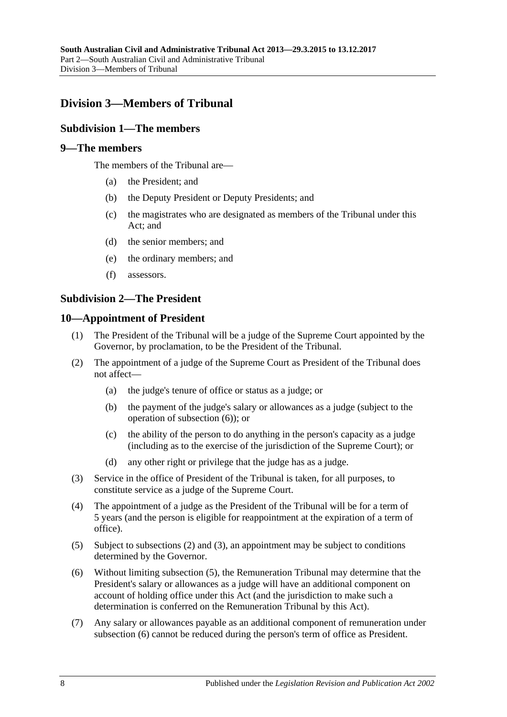## <span id="page-7-1"></span><span id="page-7-0"></span>**Division 3—Members of Tribunal**

## **Subdivision 1—The members**

## <span id="page-7-2"></span>**9—The members**

The members of the Tribunal are—

- (a) the President; and
- (b) the Deputy President or Deputy Presidents; and
- (c) the magistrates who are designated as members of the Tribunal under this Act; and
- (d) the senior members; and
- (e) the ordinary members; and
- (f) assessors.

### <span id="page-7-3"></span>**Subdivision 2—The President**

#### <span id="page-7-4"></span>**10—Appointment of President**

- (1) The President of the Tribunal will be a judge of the Supreme Court appointed by the Governor, by proclamation, to be the President of the Tribunal.
- <span id="page-7-6"></span>(2) The appointment of a judge of the Supreme Court as President of the Tribunal does not affect—
	- (a) the judge's tenure of office or status as a judge; or
	- (b) the payment of the judge's salary or allowances as a judge (subject to the operation of [subsection](#page-7-5) (6)); or
	- (c) the ability of the person to do anything in the person's capacity as a judge (including as to the exercise of the jurisdiction of the Supreme Court); or
	- (d) any other right or privilege that the judge has as a judge.
- <span id="page-7-7"></span>(3) Service in the office of President of the Tribunal is taken, for all purposes, to constitute service as a judge of the Supreme Court.
- (4) The appointment of a judge as the President of the Tribunal will be for a term of 5 years (and the person is eligible for reappointment at the expiration of a term of office).
- <span id="page-7-8"></span>(5) Subject to [subsections](#page-7-6) (2) and [\(3\),](#page-7-7) an appointment may be subject to conditions determined by the Governor.
- <span id="page-7-5"></span>(6) Without limiting [subsection](#page-7-8) (5), the Remuneration Tribunal may determine that the President's salary or allowances as a judge will have an additional component on account of holding office under this Act (and the jurisdiction to make such a determination is conferred on the Remuneration Tribunal by this Act).
- (7) Any salary or allowances payable as an additional component of remuneration under [subsection](#page-7-5) (6) cannot be reduced during the person's term of office as President.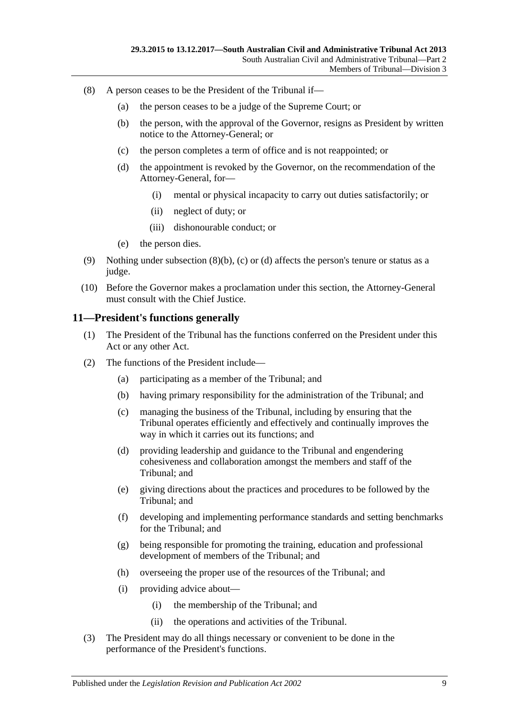- <span id="page-8-3"></span><span id="page-8-2"></span><span id="page-8-1"></span>(8) A person ceases to be the President of the Tribunal if—
	- (a) the person ceases to be a judge of the Supreme Court; or
	- (b) the person, with the approval of the Governor, resigns as President by written notice to the Attorney-General; or
	- (c) the person completes a term of office and is not reappointed; or
	- (d) the appointment is revoked by the Governor, on the recommendation of the Attorney-General, for—
		- (i) mental or physical incapacity to carry out duties satisfactorily; or
		- (ii) neglect of duty; or
		- (iii) dishonourable conduct; or
	- (e) the person dies.
- (9) Nothing under [subsection](#page-8-1)  $(8)(b)$ , [\(c\)](#page-8-2) or [\(d\)](#page-8-3) affects the person's tenure or status as a judge.
- (10) Before the Governor makes a proclamation under this section, the Attorney-General must consult with the Chief Justice.

### <span id="page-8-0"></span>**11—President's functions generally**

- (1) The President of the Tribunal has the functions conferred on the President under this Act or any other Act.
- (2) The functions of the President include—
	- (a) participating as a member of the Tribunal; and
	- (b) having primary responsibility for the administration of the Tribunal; and
	- (c) managing the business of the Tribunal, including by ensuring that the Tribunal operates efficiently and effectively and continually improves the way in which it carries out its functions; and
	- (d) providing leadership and guidance to the Tribunal and engendering cohesiveness and collaboration amongst the members and staff of the Tribunal; and
	- (e) giving directions about the practices and procedures to be followed by the Tribunal; and
	- (f) developing and implementing performance standards and setting benchmarks for the Tribunal; and
	- (g) being responsible for promoting the training, education and professional development of members of the Tribunal; and
	- (h) overseeing the proper use of the resources of the Tribunal; and
	- (i) providing advice about—
		- (i) the membership of the Tribunal; and
		- (ii) the operations and activities of the Tribunal.
- (3) The President may do all things necessary or convenient to be done in the performance of the President's functions.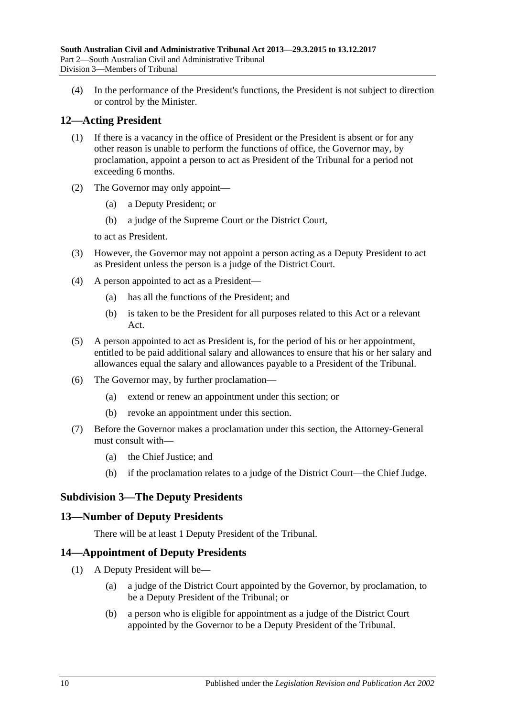(4) In the performance of the President's functions, the President is not subject to direction or control by the Minister.

## <span id="page-9-0"></span>**12—Acting President**

- (1) If there is a vacancy in the office of President or the President is absent or for any other reason is unable to perform the functions of office, the Governor may, by proclamation, appoint a person to act as President of the Tribunal for a period not exceeding 6 months.
- (2) The Governor may only appoint—
	- (a) a Deputy President; or
	- (b) a judge of the Supreme Court or the District Court,

to act as President.

- (3) However, the Governor may not appoint a person acting as a Deputy President to act as President unless the person is a judge of the District Court.
- (4) A person appointed to act as a President—
	- (a) has all the functions of the President; and
	- (b) is taken to be the President for all purposes related to this Act or a relevant Act.
- (5) A person appointed to act as President is, for the period of his or her appointment, entitled to be paid additional salary and allowances to ensure that his or her salary and allowances equal the salary and allowances payable to a President of the Tribunal.
- (6) The Governor may, by further proclamation—
	- (a) extend or renew an appointment under this section; or
	- (b) revoke an appointment under this section.
- (7) Before the Governor makes a proclamation under this section, the Attorney-General must consult with—
	- (a) the Chief Justice; and
	- (b) if the proclamation relates to a judge of the District Court—the Chief Judge.

## <span id="page-9-1"></span>**Subdivision 3—The Deputy Presidents**

## <span id="page-9-2"></span>**13—Number of Deputy Presidents**

There will be at least 1 Deputy President of the Tribunal.

## <span id="page-9-3"></span>**14—Appointment of Deputy Presidents**

- <span id="page-9-5"></span><span id="page-9-4"></span>(1) A Deputy President will be—
	- (a) a judge of the District Court appointed by the Governor, by proclamation, to be a Deputy President of the Tribunal; or
	- (b) a person who is eligible for appointment as a judge of the District Court appointed by the Governor to be a Deputy President of the Tribunal.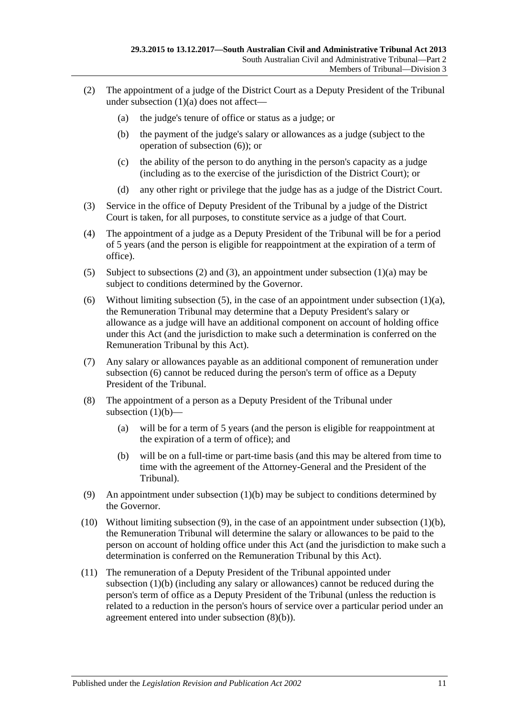- <span id="page-10-1"></span>(2) The appointment of a judge of the District Court as a Deputy President of the Tribunal under [subsection](#page-9-4) (1)(a) does not affect—
	- (a) the judge's tenure of office or status as a judge; or
	- (b) the payment of the judge's salary or allowances as a judge (subject to the operation of [subsection](#page-10-0) (6)); or
	- (c) the ability of the person to do anything in the person's capacity as a judge (including as to the exercise of the jurisdiction of the District Court); or
	- (d) any other right or privilege that the judge has as a judge of the District Court.
- <span id="page-10-2"></span>(3) Service in the office of Deputy President of the Tribunal by a judge of the District Court is taken, for all purposes, to constitute service as a judge of that Court.
- (4) The appointment of a judge as a Deputy President of the Tribunal will be for a period of 5 years (and the person is eligible for reappointment at the expiration of a term of office).
- <span id="page-10-3"></span>(5) Subject to [subsections \(2\)](#page-10-1) and [\(3\),](#page-10-2) an appointment under [subsection](#page-9-4) (1)(a) may be subject to conditions determined by the Governor.
- <span id="page-10-0"></span>(6) Without limiting [subsection](#page-9-4) (5), in the case of an appointment under subsection  $(1)(a)$ , the Remuneration Tribunal may determine that a Deputy President's salary or allowance as a judge will have an additional component on account of holding office under this Act (and the jurisdiction to make such a determination is conferred on the Remuneration Tribunal by this Act).
- (7) Any salary or allowances payable as an additional component of remuneration under [subsection](#page-10-0) (6) cannot be reduced during the person's term of office as a Deputy President of the Tribunal.
- (8) The appointment of a person as a Deputy President of the Tribunal under [subsection](#page-9-5)  $(1)(b)$ —
	- (a) will be for a term of 5 years (and the person is eligible for reappointment at the expiration of a term of office); and
	- (b) will be on a full-time or part-time basis (and this may be altered from time to time with the agreement of the Attorney-General and the President of the Tribunal).
- <span id="page-10-5"></span><span id="page-10-4"></span>(9) An appointment under [subsection](#page-9-5) (1)(b) may be subject to conditions determined by the Governor.
- (10) Without limiting [subsection](#page-10-4) (9), in the case of an appointment under [subsection](#page-9-5) (1)(b), the Remuneration Tribunal will determine the salary or allowances to be paid to the person on account of holding office under this Act (and the jurisdiction to make such a determination is conferred on the Remuneration Tribunal by this Act).
- (11) The remuneration of a Deputy President of the Tribunal appointed under [subsection](#page-9-5) (1)(b) (including any salary or allowances) cannot be reduced during the person's term of office as a Deputy President of the Tribunal (unless the reduction is related to a reduction in the person's hours of service over a particular period under an agreement entered into under [subsection](#page-10-5) (8)(b)).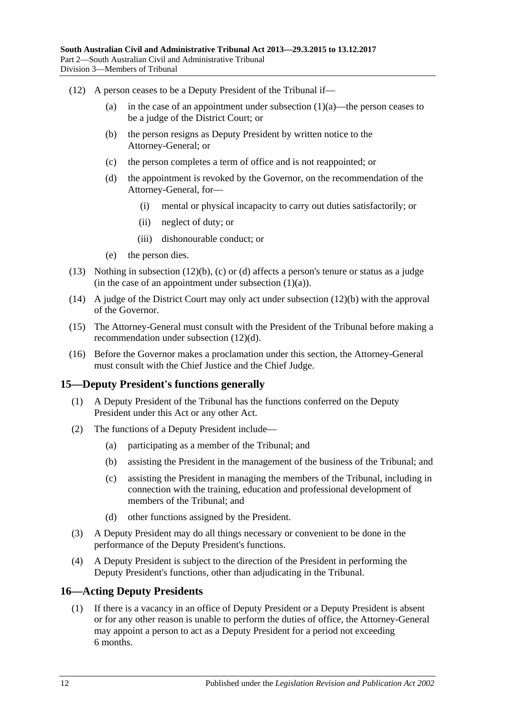- <span id="page-11-4"></span><span id="page-11-3"></span><span id="page-11-2"></span>(12) A person ceases to be a Deputy President of the Tribunal if
	- (a) in the case of an appointment under [subsection](#page-9-4)  $(1)(a)$ —the person ceases to be a judge of the District Court; or
	- (b) the person resigns as Deputy President by written notice to the Attorney-General; or
	- (c) the person completes a term of office and is not reappointed; or
	- (d) the appointment is revoked by the Governor, on the recommendation of the Attorney-General, for—
		- (i) mental or physical incapacity to carry out duties satisfactorily; or
		- (ii) neglect of duty; or
		- (iii) dishonourable conduct; or
	- (e) the person dies.
- (13) Nothing in [subsection](#page-11-2) (12)(b), [\(c\)](#page-11-3) or [\(d\)](#page-11-4) affects a person's tenure or status as a judge (in the case of an appointment under [subsection](#page-9-4)  $(1)(a)$ ).
- (14) A judge of the District Court may only act under [subsection](#page-11-2) (12)(b) with the approval of the Governor.
- (15) The Attorney-General must consult with the President of the Tribunal before making a recommendation under [subsection](#page-11-4) (12)(d).
- (16) Before the Governor makes a proclamation under this section, the Attorney-General must consult with the Chief Justice and the Chief Judge.

## <span id="page-11-0"></span>**15—Deputy President's functions generally**

- (1) A Deputy President of the Tribunal has the functions conferred on the Deputy President under this Act or any other Act.
- (2) The functions of a Deputy President include—
	- (a) participating as a member of the Tribunal; and
	- (b) assisting the President in the management of the business of the Tribunal; and
	- (c) assisting the President in managing the members of the Tribunal, including in connection with the training, education and professional development of members of the Tribunal; and
	- (d) other functions assigned by the President.
- (3) A Deputy President may do all things necessary or convenient to be done in the performance of the Deputy President's functions.
- (4) A Deputy President is subject to the direction of the President in performing the Deputy President's functions, other than adjudicating in the Tribunal.

## <span id="page-11-1"></span>**16—Acting Deputy Presidents**

(1) If there is a vacancy in an office of Deputy President or a Deputy President is absent or for any other reason is unable to perform the duties of office, the Attorney-General may appoint a person to act as a Deputy President for a period not exceeding 6 months.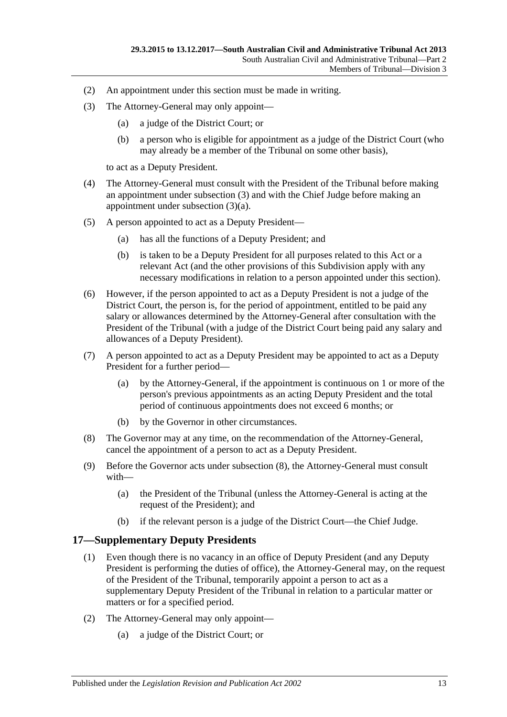- (2) An appointment under this section must be made in writing.
- <span id="page-12-2"></span><span id="page-12-1"></span>(3) The Attorney-General may only appoint—
	- (a) a judge of the District Court; or
	- (b) a person who is eligible for appointment as a judge of the District Court (who may already be a member of the Tribunal on some other basis),

to act as a Deputy President.

- (4) The Attorney-General must consult with the President of the Tribunal before making an appointment under [subsection](#page-12-1) (3) and with the Chief Judge before making an appointment under [subsection](#page-12-2) (3)(a).
- (5) A person appointed to act as a Deputy President—
	- (a) has all the functions of a Deputy President; and
	- (b) is taken to be a Deputy President for all purposes related to this Act or a relevant Act (and the other provisions of this Subdivision apply with any necessary modifications in relation to a person appointed under this section).
- (6) However, if the person appointed to act as a Deputy President is not a judge of the District Court, the person is, for the period of appointment, entitled to be paid any salary or allowances determined by the Attorney-General after consultation with the President of the Tribunal (with a judge of the District Court being paid any salary and allowances of a Deputy President).
- (7) A person appointed to act as a Deputy President may be appointed to act as a Deputy President for a further period—
	- (a) by the Attorney-General, if the appointment is continuous on 1 or more of the person's previous appointments as an acting Deputy President and the total period of continuous appointments does not exceed 6 months; or
	- (b) by the Governor in other circumstances.
- <span id="page-12-3"></span>(8) The Governor may at any time, on the recommendation of the Attorney-General, cancel the appointment of a person to act as a Deputy President.
- (9) Before the Governor acts under [subsection](#page-12-3) (8), the Attorney-General must consult with—
	- (a) the President of the Tribunal (unless the Attorney-General is acting at the request of the President); and
	- (b) if the relevant person is a judge of the District Court—the Chief Judge.

## <span id="page-12-0"></span>**17—Supplementary Deputy Presidents**

- (1) Even though there is no vacancy in an office of Deputy President (and any Deputy President is performing the duties of office), the Attorney-General may, on the request of the President of the Tribunal, temporarily appoint a person to act as a supplementary Deputy President of the Tribunal in relation to a particular matter or matters or for a specified period.
- <span id="page-12-4"></span>(2) The Attorney-General may only appoint—
	- (a) a judge of the District Court; or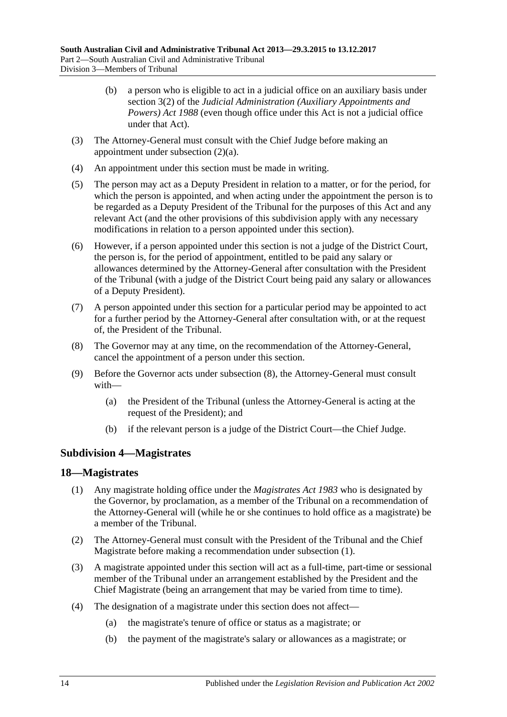- (b) a person who is eligible to act in a judicial office on an auxiliary basis under section 3(2) of the *[Judicial Administration \(Auxiliary Appointments and](http://www.legislation.sa.gov.au/index.aspx?action=legref&type=act&legtitle=Judicial%20Administration%20(Auxiliary%20Appointments%20and%20Powers)%20Act%201988)  [Powers\) Act](http://www.legislation.sa.gov.au/index.aspx?action=legref&type=act&legtitle=Judicial%20Administration%20(Auxiliary%20Appointments%20and%20Powers)%20Act%201988) 1988* (even though office under this Act is not a judicial office under that Act).
- (3) The Attorney-General must consult with the Chief Judge before making an appointment under [subsection](#page-12-4) (2)(a).
- (4) An appointment under this section must be made in writing.
- (5) The person may act as a Deputy President in relation to a matter, or for the period, for which the person is appointed, and when acting under the appointment the person is to be regarded as a Deputy President of the Tribunal for the purposes of this Act and any relevant Act (and the other provisions of this subdivision apply with any necessary modifications in relation to a person appointed under this section).
- (6) However, if a person appointed under this section is not a judge of the District Court, the person is, for the period of appointment, entitled to be paid any salary or allowances determined by the Attorney-General after consultation with the President of the Tribunal (with a judge of the District Court being paid any salary or allowances of a Deputy President).
- (7) A person appointed under this section for a particular period may be appointed to act for a further period by the Attorney-General after consultation with, or at the request of, the President of the Tribunal.
- <span id="page-13-2"></span>(8) The Governor may at any time, on the recommendation of the Attorney-General, cancel the appointment of a person under this section.
- (9) Before the Governor acts under [subsection](#page-13-2) (8), the Attorney-General must consult with—
	- (a) the President of the Tribunal (unless the Attorney-General is acting at the request of the President); and
	- (b) if the relevant person is a judge of the District Court—the Chief Judge.

## <span id="page-13-0"></span>**Subdivision 4—Magistrates**

#### <span id="page-13-3"></span><span id="page-13-1"></span>**18—Magistrates**

- (1) Any magistrate holding office under the *[Magistrates Act](http://www.legislation.sa.gov.au/index.aspx?action=legref&type=act&legtitle=Magistrates%20Act%201983) 1983* who is designated by the Governor, by proclamation, as a member of the Tribunal on a recommendation of the Attorney-General will (while he or she continues to hold office as a magistrate) be a member of the Tribunal.
- (2) The Attorney-General must consult with the President of the Tribunal and the Chief Magistrate before making a recommendation under [subsection](#page-13-3) (1).
- (3) A magistrate appointed under this section will act as a full-time, part-time or sessional member of the Tribunal under an arrangement established by the President and the Chief Magistrate (being an arrangement that may be varied from time to time).
- (4) The designation of a magistrate under this section does not affect—
	- (a) the magistrate's tenure of office or status as a magistrate; or
	- (b) the payment of the magistrate's salary or allowances as a magistrate; or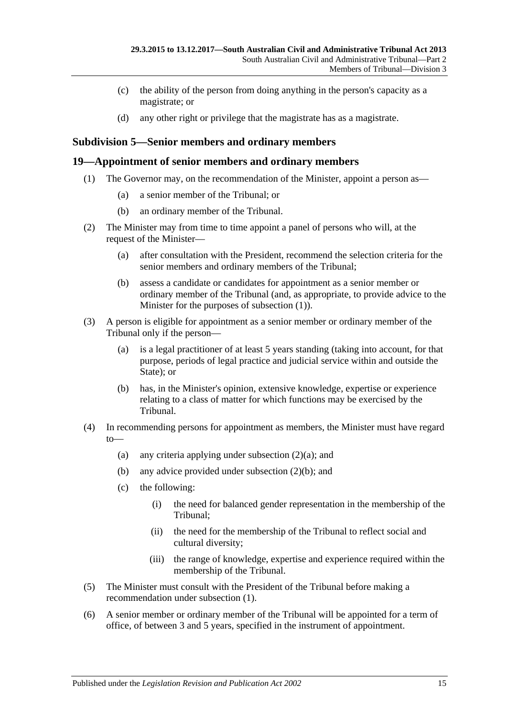- (c) the ability of the person from doing anything in the person's capacity as a magistrate; or
- (d) any other right or privilege that the magistrate has as a magistrate.

## <span id="page-14-0"></span>**Subdivision 5—Senior members and ordinary members**

### <span id="page-14-2"></span><span id="page-14-1"></span>**19—Appointment of senior members and ordinary members**

- (1) The Governor may, on the recommendation of the Minister, appoint a person as—
	- (a) a senior member of the Tribunal; or
	- (b) an ordinary member of the Tribunal.
- <span id="page-14-5"></span><span id="page-14-3"></span>(2) The Minister may from time to time appoint a panel of persons who will, at the request of the Minister—
	- (a) after consultation with the President, recommend the selection criteria for the senior members and ordinary members of the Tribunal;
	- (b) assess a candidate or candidates for appointment as a senior member or ordinary member of the Tribunal (and, as appropriate, to provide advice to the Minister for the purposes of [subsection](#page-14-2) (1)).
- <span id="page-14-4"></span>(3) A person is eligible for appointment as a senior member or ordinary member of the Tribunal only if the person—
	- (a) is a legal practitioner of at least 5 years standing (taking into account, for that purpose, periods of legal practice and judicial service within and outside the State); or
	- (b) has, in the Minister's opinion, extensive knowledge, expertise or experience relating to a class of matter for which functions may be exercised by the Tribunal.
- (4) In recommending persons for appointment as members, the Minister must have regard to
	- (a) any criteria applying under [subsection](#page-14-3)  $(2)(a)$ ; and
	- (b) any advice provided under [subsection](#page-14-4) (2)(b); and
	- (c) the following:
		- (i) the need for balanced gender representation in the membership of the Tribunal;
		- (ii) the need for the membership of the Tribunal to reflect social and cultural diversity;
		- (iii) the range of knowledge, expertise and experience required within the membership of the Tribunal.
- (5) The Minister must consult with the President of the Tribunal before making a recommendation under [subsection](#page-14-2) (1).
- (6) A senior member or ordinary member of the Tribunal will be appointed for a term of office, of between 3 and 5 years, specified in the instrument of appointment.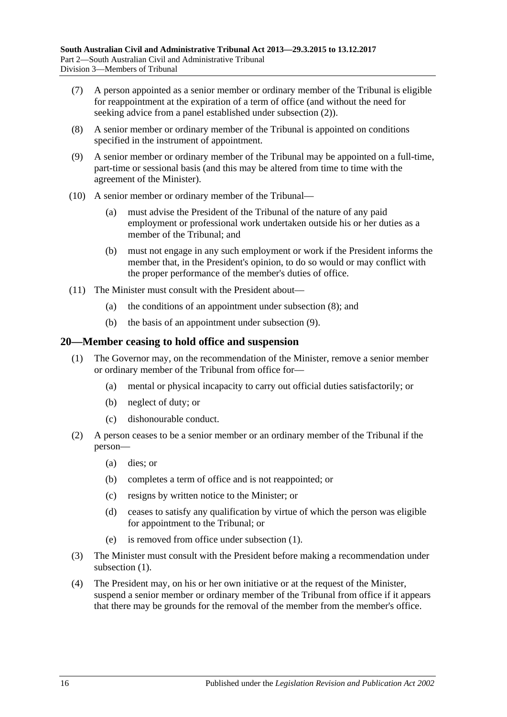- (7) A person appointed as a senior member or ordinary member of the Tribunal is eligible for reappointment at the expiration of a term of office (and without the need for seeking advice from a panel established under [subsection](#page-14-5) (2)).
- <span id="page-15-1"></span>(8) A senior member or ordinary member of the Tribunal is appointed on conditions specified in the instrument of appointment.
- <span id="page-15-2"></span>(9) A senior member or ordinary member of the Tribunal may be appointed on a full-time, part-time or sessional basis (and this may be altered from time to time with the agreement of the Minister).
- (10) A senior member or ordinary member of the Tribunal—
	- (a) must advise the President of the Tribunal of the nature of any paid employment or professional work undertaken outside his or her duties as a member of the Tribunal; and
	- (b) must not engage in any such employment or work if the President informs the member that, in the President's opinion, to do so would or may conflict with the proper performance of the member's duties of office.
- (11) The Minister must consult with the President about—
	- (a) the conditions of an appointment under [subsection](#page-15-1) (8); and
	- (b) the basis of an appointment under [subsection](#page-15-2) (9).

#### <span id="page-15-3"></span><span id="page-15-0"></span>**20—Member ceasing to hold office and suspension**

- (1) The Governor may, on the recommendation of the Minister, remove a senior member or ordinary member of the Tribunal from office for—
	- (a) mental or physical incapacity to carry out official duties satisfactorily; or
	- (b) neglect of duty; or
	- (c) dishonourable conduct.
- (2) A person ceases to be a senior member or an ordinary member of the Tribunal if the person—
	- (a) dies; or
	- (b) completes a term of office and is not reappointed; or
	- (c) resigns by written notice to the Minister; or
	- (d) ceases to satisfy any qualification by virtue of which the person was eligible for appointment to the Tribunal; or
	- (e) is removed from office under [subsection](#page-15-3) (1).
- (3) The Minister must consult with the President before making a recommendation under [subsection](#page-15-3)  $(1)$ .
- <span id="page-15-4"></span>(4) The President may, on his or her own initiative or at the request of the Minister, suspend a senior member or ordinary member of the Tribunal from office if it appears that there may be grounds for the removal of the member from the member's office.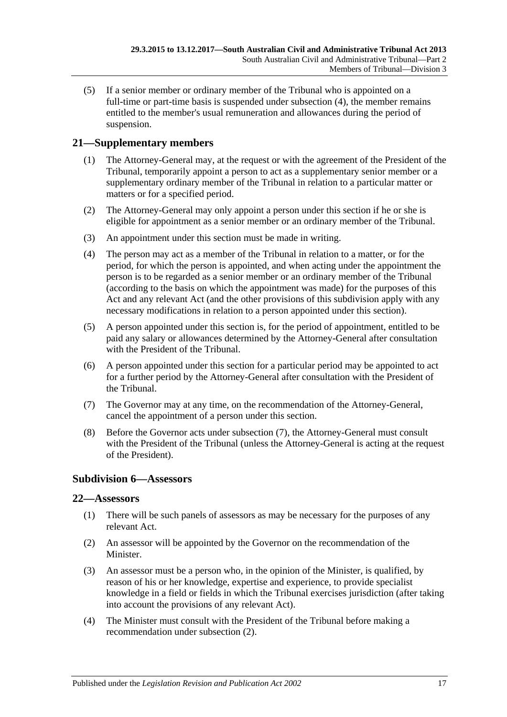(5) If a senior member or ordinary member of the Tribunal who is appointed on a full-time or part-time basis is suspended under [subsection](#page-15-4) (4), the member remains entitled to the member's usual remuneration and allowances during the period of suspension.

## <span id="page-16-0"></span>**21—Supplementary members**

- (1) The Attorney-General may, at the request or with the agreement of the President of the Tribunal, temporarily appoint a person to act as a supplementary senior member or a supplementary ordinary member of the Tribunal in relation to a particular matter or matters or for a specified period.
- (2) The Attorney-General may only appoint a person under this section if he or she is eligible for appointment as a senior member or an ordinary member of the Tribunal.
- (3) An appointment under this section must be made in writing.
- (4) The person may act as a member of the Tribunal in relation to a matter, or for the period, for which the person is appointed, and when acting under the appointment the person is to be regarded as a senior member or an ordinary member of the Tribunal (according to the basis on which the appointment was made) for the purposes of this Act and any relevant Act (and the other provisions of this subdivision apply with any necessary modifications in relation to a person appointed under this section).
- (5) A person appointed under this section is, for the period of appointment, entitled to be paid any salary or allowances determined by the Attorney-General after consultation with the President of the Tribunal.
- (6) A person appointed under this section for a particular period may be appointed to act for a further period by the Attorney-General after consultation with the President of the Tribunal.
- <span id="page-16-3"></span>(7) The Governor may at any time, on the recommendation of the Attorney-General, cancel the appointment of a person under this section.
- (8) Before the Governor acts under [subsection](#page-16-3) (7), the Attorney-General must consult with the President of the Tribunal (unless the Attorney-General is acting at the request of the President).

## <span id="page-16-1"></span>**Subdivision 6—Assessors**

## <span id="page-16-2"></span>**22—Assessors**

- (1) There will be such panels of assessors as may be necessary for the purposes of any relevant Act.
- <span id="page-16-4"></span>(2) An assessor will be appointed by the Governor on the recommendation of the Minister.
- (3) An assessor must be a person who, in the opinion of the Minister, is qualified, by reason of his or her knowledge, expertise and experience, to provide specialist knowledge in a field or fields in which the Tribunal exercises jurisdiction (after taking into account the provisions of any relevant Act).
- (4) The Minister must consult with the President of the Tribunal before making a recommendation under [subsection](#page-16-4) (2).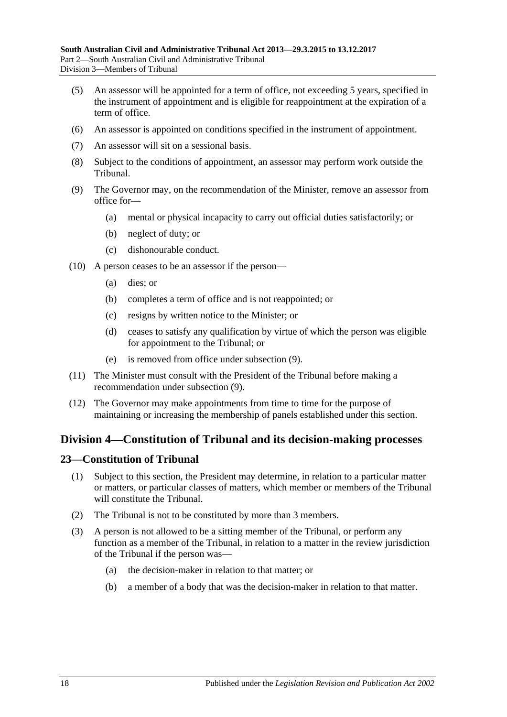- (5) An assessor will be appointed for a term of office, not exceeding 5 years, specified in the instrument of appointment and is eligible for reappointment at the expiration of a term of office.
- (6) An assessor is appointed on conditions specified in the instrument of appointment.
- (7) An assessor will sit on a sessional basis.
- (8) Subject to the conditions of appointment, an assessor may perform work outside the Tribunal.
- <span id="page-17-2"></span>(9) The Governor may, on the recommendation of the Minister, remove an assessor from office for—
	- (a) mental or physical incapacity to carry out official duties satisfactorily; or
	- (b) neglect of duty; or
	- (c) dishonourable conduct.
- (10) A person ceases to be an assessor if the person—
	- (a) dies; or
	- (b) completes a term of office and is not reappointed; or
	- (c) resigns by written notice to the Minister; or
	- (d) ceases to satisfy any qualification by virtue of which the person was eligible for appointment to the Tribunal; or
	- (e) is removed from office under [subsection](#page-17-2) (9).
- (11) The Minister must consult with the President of the Tribunal before making a recommendation under [subsection](#page-17-2) (9).
- (12) The Governor may make appointments from time to time for the purpose of maintaining or increasing the membership of panels established under this section.

## <span id="page-17-0"></span>**Division 4—Constitution of Tribunal and its decision-making processes**

#### <span id="page-17-1"></span>**23—Constitution of Tribunal**

- (1) Subject to this section, the President may determine, in relation to a particular matter or matters, or particular classes of matters, which member or members of the Tribunal will constitute the Tribunal.
- (2) The Tribunal is not to be constituted by more than 3 members.
- (3) A person is not allowed to be a sitting member of the Tribunal, or perform any function as a member of the Tribunal, in relation to a matter in the review jurisdiction of the Tribunal if the person was—
	- (a) the decision-maker in relation to that matter; or
	- (b) a member of a body that was the decision-maker in relation to that matter.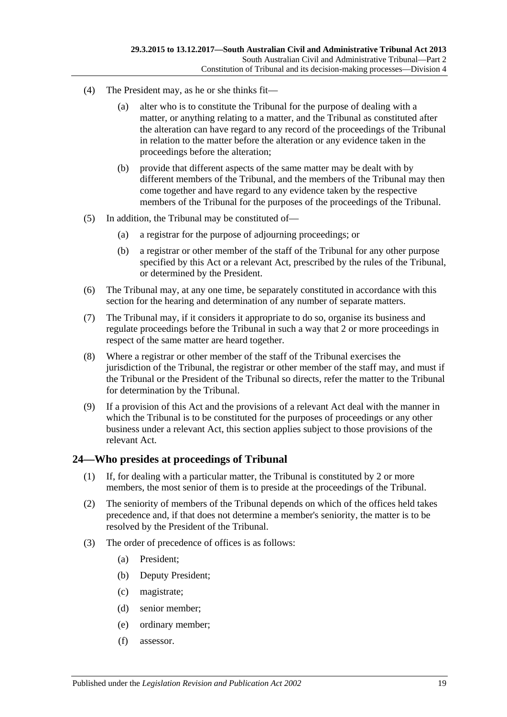- (4) The President may, as he or she thinks fit—
	- (a) alter who is to constitute the Tribunal for the purpose of dealing with a matter, or anything relating to a matter, and the Tribunal as constituted after the alteration can have regard to any record of the proceedings of the Tribunal in relation to the matter before the alteration or any evidence taken in the proceedings before the alteration;
	- (b) provide that different aspects of the same matter may be dealt with by different members of the Tribunal, and the members of the Tribunal may then come together and have regard to any evidence taken by the respective members of the Tribunal for the purposes of the proceedings of the Tribunal.
- (5) In addition, the Tribunal may be constituted of—
	- (a) a registrar for the purpose of adjourning proceedings; or
	- (b) a registrar or other member of the staff of the Tribunal for any other purpose specified by this Act or a relevant Act, prescribed by the rules of the Tribunal, or determined by the President.
- (6) The Tribunal may, at any one time, be separately constituted in accordance with this section for the hearing and determination of any number of separate matters.
- (7) The Tribunal may, if it considers it appropriate to do so, organise its business and regulate proceedings before the Tribunal in such a way that 2 or more proceedings in respect of the same matter are heard together.
- (8) Where a registrar or other member of the staff of the Tribunal exercises the jurisdiction of the Tribunal, the registrar or other member of the staff may, and must if the Tribunal or the President of the Tribunal so directs, refer the matter to the Tribunal for determination by the Tribunal.
- (9) If a provision of this Act and the provisions of a relevant Act deal with the manner in which the Tribunal is to be constituted for the purposes of proceedings or any other business under a relevant Act, this section applies subject to those provisions of the relevant Act.

## <span id="page-18-0"></span>**24—Who presides at proceedings of Tribunal**

- (1) If, for dealing with a particular matter, the Tribunal is constituted by 2 or more members, the most senior of them is to preside at the proceedings of the Tribunal.
- (2) The seniority of members of the Tribunal depends on which of the offices held takes precedence and, if that does not determine a member's seniority, the matter is to be resolved by the President of the Tribunal.
- (3) The order of precedence of offices is as follows:
	- (a) President;
	- (b) Deputy President;
	- (c) magistrate;
	- (d) senior member;
	- (e) ordinary member;
	- (f) assessor.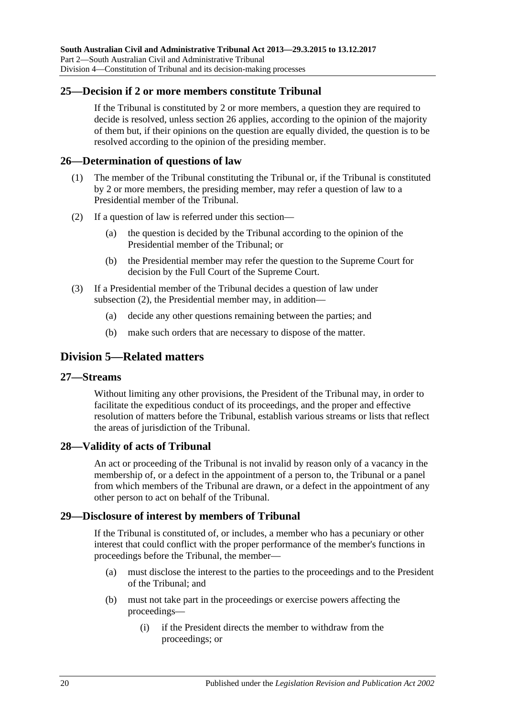## <span id="page-19-0"></span>**25—Decision if 2 or more members constitute Tribunal**

If the Tribunal is constituted by 2 or more members, a question they are required to decide is resolved, unless [section](#page-19-1) 26 applies, according to the opinion of the majority of them but, if their opinions on the question are equally divided, the question is to be resolved according to the opinion of the presiding member.

### <span id="page-19-1"></span>**26—Determination of questions of law**

- (1) The member of the Tribunal constituting the Tribunal or, if the Tribunal is constituted by 2 or more members, the presiding member, may refer a question of law to a Presidential member of the Tribunal.
- <span id="page-19-6"></span>(2) If a question of law is referred under this section—
	- (a) the question is decided by the Tribunal according to the opinion of the Presidential member of the Tribunal; or
	- (b) the Presidential member may refer the question to the Supreme Court for decision by the Full Court of the Supreme Court.
- (3) If a Presidential member of the Tribunal decides a question of law under [subsection](#page-19-6) (2), the Presidential member may, in addition—
	- (a) decide any other questions remaining between the parties; and
	- (b) make such orders that are necessary to dispose of the matter.

## <span id="page-19-2"></span>**Division 5—Related matters**

#### <span id="page-19-3"></span>**27—Streams**

Without limiting any other provisions, the President of the Tribunal may, in order to facilitate the expeditious conduct of its proceedings, and the proper and effective resolution of matters before the Tribunal, establish various streams or lists that reflect the areas of jurisdiction of the Tribunal.

#### <span id="page-19-4"></span>**28—Validity of acts of Tribunal**

An act or proceeding of the Tribunal is not invalid by reason only of a vacancy in the membership of, or a defect in the appointment of a person to, the Tribunal or a panel from which members of the Tribunal are drawn, or a defect in the appointment of any other person to act on behalf of the Tribunal.

## <span id="page-19-5"></span>**29—Disclosure of interest by members of Tribunal**

If the Tribunal is constituted of, or includes, a member who has a pecuniary or other interest that could conflict with the proper performance of the member's functions in proceedings before the Tribunal, the member—

- (a) must disclose the interest to the parties to the proceedings and to the President of the Tribunal; and
- (b) must not take part in the proceedings or exercise powers affecting the proceedings—
	- (i) if the President directs the member to withdraw from the proceedings; or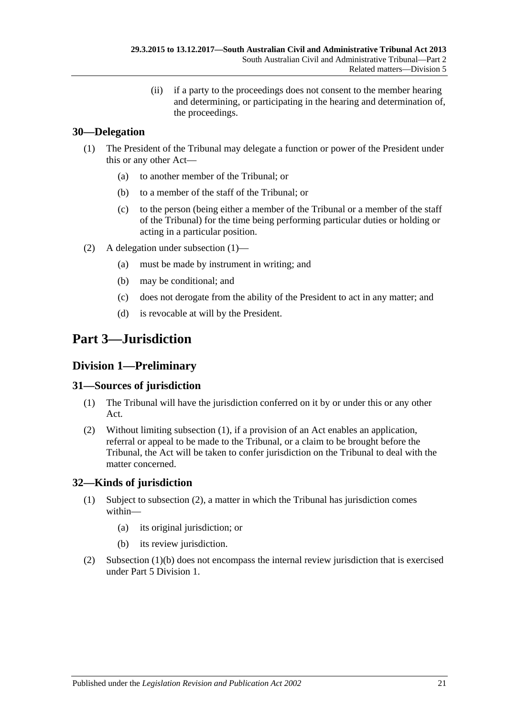(ii) if a party to the proceedings does not consent to the member hearing and determining, or participating in the hearing and determination of, the proceedings.

## <span id="page-20-5"></span><span id="page-20-0"></span>**30—Delegation**

- (1) The President of the Tribunal may delegate a function or power of the President under this or any other Act—
	- (a) to another member of the Tribunal; or
	- (b) to a member of the staff of the Tribunal; or
	- (c) to the person (being either a member of the Tribunal or a member of the staff of the Tribunal) for the time being performing particular duties or holding or acting in a particular position.
- (2) A delegation under [subsection](#page-20-5) (1)—
	- (a) must be made by instrument in writing; and
	- (b) may be conditional; and
	- (c) does not derogate from the ability of the President to act in any matter; and
	- (d) is revocable at will by the President.

# <span id="page-20-1"></span>**Part 3—Jurisdiction**

## <span id="page-20-2"></span>**Division 1—Preliminary**

## <span id="page-20-6"></span><span id="page-20-3"></span>**31—Sources of jurisdiction**

- (1) The Tribunal will have the jurisdiction conferred on it by or under this or any other Act.
- (2) Without limiting [subsection](#page-20-6) (1), if a provision of an Act enables an application, referral or appeal to be made to the Tribunal, or a claim to be brought before the Tribunal, the Act will be taken to confer jurisdiction on the Tribunal to deal with the matter concerned.

## <span id="page-20-4"></span>**32—Kinds of jurisdiction**

- (1) Subject to [subsection](#page-20-7) (2), a matter in which the Tribunal has jurisdiction comes within—
	- (a) its original jurisdiction; or
	- (b) its review jurisdiction.
- <span id="page-20-8"></span><span id="page-20-7"></span>(2) [Subsection](#page-20-8) (1)(b) does not encompass the internal review jurisdiction that is exercised under Part [5 Division](#page-37-5) 1.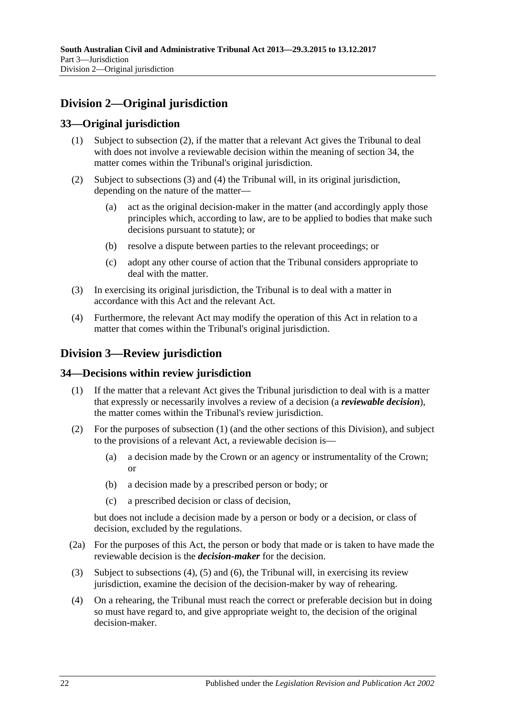## <span id="page-21-0"></span>**Division 2—Original jurisdiction**

## <span id="page-21-1"></span>**33—Original jurisdiction**

- (1) Subject to subsection (2), if the matter that a relevant Act gives the Tribunal to deal with does not involve a reviewable decision within the meaning of [section](#page-21-3) 34, the matter comes within the Tribunal's original jurisdiction.
- (2) Subject to [subsections](#page-21-5) (3) and [\(4\)](#page-21-6) the Tribunal will, in its original jurisdiction, depending on the nature of the matter—
	- (a) act as the original decision-maker in the matter (and accordingly apply those principles which, according to law, are to be applied to bodies that make such decisions pursuant to statute); or
	- (b) resolve a dispute between parties to the relevant proceedings; or
	- (c) adopt any other course of action that the Tribunal considers appropriate to deal with the matter.
- <span id="page-21-5"></span>(3) In exercising its original jurisdiction, the Tribunal is to deal with a matter in accordance with this Act and the relevant Act.
- <span id="page-21-6"></span>(4) Furthermore, the relevant Act may modify the operation of this Act in relation to a matter that comes within the Tribunal's original jurisdiction.

## <span id="page-21-2"></span>**Division 3—Review jurisdiction**

## <span id="page-21-7"></span><span id="page-21-3"></span>**34—Decisions within review jurisdiction**

- (1) If the matter that a relevant Act gives the Tribunal jurisdiction to deal with is a matter that expressly or necessarily involves a review of a decision (a *reviewable decision*), the matter comes within the Tribunal's review jurisdiction.
- (2) For the purposes of [subsection](#page-21-7) (1) (and the other sections of this Division), and subject to the provisions of a relevant Act, a reviewable decision is—
	- (a) a decision made by the Crown or an agency or instrumentality of the Crown; or
	- (b) a decision made by a prescribed person or body; or
	- (c) a prescribed decision or class of decision,

but does not include a decision made by a person or body or a decision, or class of decision, excluded by the regulations.

- <span id="page-21-4"></span>(2a) For the purposes of this Act, the person or body that made or is taken to have made the reviewable decision is the *decision-maker* for the decision.
- (3) Subject to [subsections \(4\),](#page-21-8) [\(5\)](#page-22-1) and [\(6\),](#page-22-2) the Tribunal will, in exercising its review jurisdiction, examine the decision of the decision-maker by way of rehearing.
- <span id="page-21-8"></span>(4) On a rehearing, the Tribunal must reach the correct or preferable decision but in doing so must have regard to, and give appropriate weight to, the decision of the original decision-maker.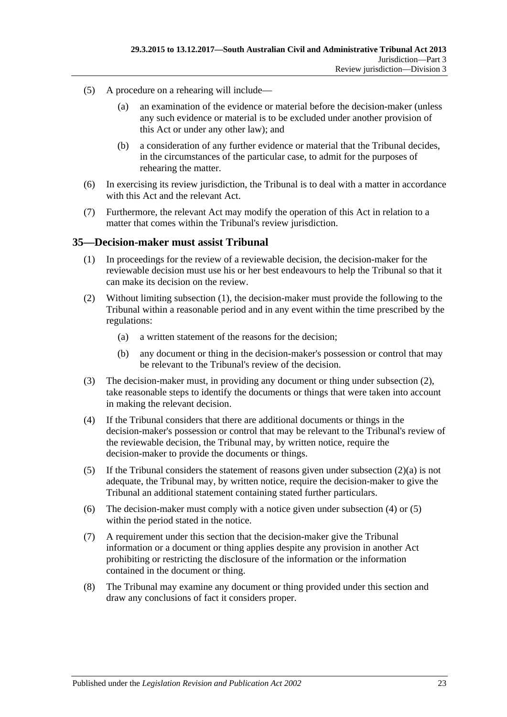- <span id="page-22-1"></span>(5) A procedure on a rehearing will include—
	- (a) an examination of the evidence or material before the decision-maker (unless any such evidence or material is to be excluded under another provision of this Act or under any other law); and
	- (b) a consideration of any further evidence or material that the Tribunal decides, in the circumstances of the particular case, to admit for the purposes of rehearing the matter.
- <span id="page-22-2"></span>(6) In exercising its review jurisdiction, the Tribunal is to deal with a matter in accordance with this Act and the relevant Act.
- (7) Furthermore, the relevant Act may modify the operation of this Act in relation to a matter that comes within the Tribunal's review jurisdiction.

#### <span id="page-22-3"></span><span id="page-22-0"></span>**35—Decision-maker must assist Tribunal**

- (1) In proceedings for the review of a reviewable decision, the decision-maker for the reviewable decision must use his or her best endeavours to help the Tribunal so that it can make its decision on the review.
- <span id="page-22-5"></span><span id="page-22-4"></span>(2) Without limiting [subsection](#page-22-3) (1), the decision-maker must provide the following to the Tribunal within a reasonable period and in any event within the time prescribed by the regulations:
	- (a) a written statement of the reasons for the decision;
	- (b) any document or thing in the decision-maker's possession or control that may be relevant to the Tribunal's review of the decision.
- (3) The decision-maker must, in providing any document or thing under [subsection](#page-22-4) (2), take reasonable steps to identify the documents or things that were taken into account in making the relevant decision.
- <span id="page-22-6"></span>(4) If the Tribunal considers that there are additional documents or things in the decision-maker's possession or control that may be relevant to the Tribunal's review of the reviewable decision, the Tribunal may, by written notice, require the decision-maker to provide the documents or things.
- <span id="page-22-7"></span>(5) If the Tribunal considers the statement of reasons given under [subsection](#page-22-5) (2)(a) is not adequate, the Tribunal may, by written notice, require the decision-maker to give the Tribunal an additional statement containing stated further particulars.
- (6) The decision-maker must comply with a notice given under [subsection](#page-22-6) (4) or [\(5\)](#page-22-7) within the period stated in the notice.
- (7) A requirement under this section that the decision-maker give the Tribunal information or a document or thing applies despite any provision in another Act prohibiting or restricting the disclosure of the information or the information contained in the document or thing.
- (8) The Tribunal may examine any document or thing provided under this section and draw any conclusions of fact it considers proper.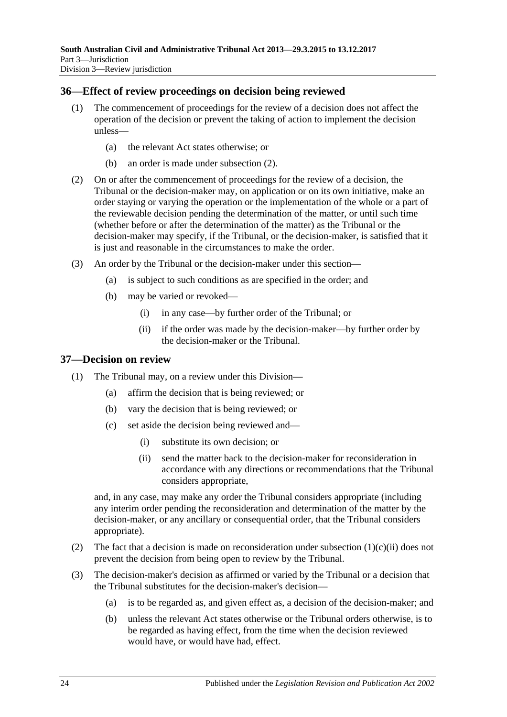## <span id="page-23-0"></span>**36—Effect of review proceedings on decision being reviewed**

- (1) The commencement of proceedings for the review of a decision does not affect the operation of the decision or prevent the taking of action to implement the decision unless—
	- (a) the relevant Act states otherwise; or
	- (b) an order is made under [subsection](#page-23-2) (2).
- <span id="page-23-2"></span>(2) On or after the commencement of proceedings for the review of a decision, the Tribunal or the decision-maker may, on application or on its own initiative, make an order staying or varying the operation or the implementation of the whole or a part of the reviewable decision pending the determination of the matter, or until such time (whether before or after the determination of the matter) as the Tribunal or the decision-maker may specify, if the Tribunal, or the decision-maker, is satisfied that it is just and reasonable in the circumstances to make the order.
- (3) An order by the Tribunal or the decision-maker under this section—
	- (a) is subject to such conditions as are specified in the order; and
	- (b) may be varied or revoked—
		- (i) in any case—by further order of the Tribunal; or
		- (ii) if the order was made by the decision-maker—by further order by the decision-maker or the Tribunal.

#### <span id="page-23-1"></span>**37—Decision on review**

- (1) The Tribunal may, on a review under this Division—
	- (a) affirm the decision that is being reviewed; or
	- (b) vary the decision that is being reviewed; or
	- (c) set aside the decision being reviewed and—
		- (i) substitute its own decision; or
		- (ii) send the matter back to the decision-maker for reconsideration in accordance with any directions or recommendations that the Tribunal considers appropriate,

<span id="page-23-3"></span>and, in any case, may make any order the Tribunal considers appropriate (including any interim order pending the reconsideration and determination of the matter by the decision-maker, or any ancillary or consequential order, that the Tribunal considers appropriate).

- (2) The fact that a decision is made on reconsideration under [subsection](#page-23-3)  $(1)(c)(ii)$  does not prevent the decision from being open to review by the Tribunal.
- <span id="page-23-4"></span>(3) The decision-maker's decision as affirmed or varied by the Tribunal or a decision that the Tribunal substitutes for the decision-maker's decision—
	- (a) is to be regarded as, and given effect as, a decision of the decision-maker; and
	- (b) unless the relevant Act states otherwise or the Tribunal orders otherwise, is to be regarded as having effect, from the time when the decision reviewed would have, or would have had, effect.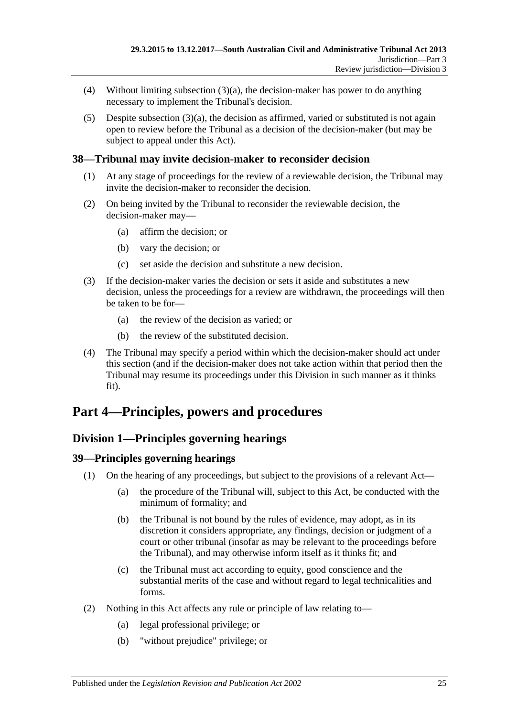- (4) Without limiting [subsection](#page-23-4)  $(3)(a)$ , the decision-maker has power to do anything necessary to implement the Tribunal's decision.
- (5) Despite [subsection](#page-23-4)  $(3)(a)$ , the decision as affirmed, varied or substituted is not again open to review before the Tribunal as a decision of the decision-maker (but may be subject to appeal under this Act).

## <span id="page-24-0"></span>**38—Tribunal may invite decision-maker to reconsider decision**

- (1) At any stage of proceedings for the review of a reviewable decision, the Tribunal may invite the decision-maker to reconsider the decision.
- (2) On being invited by the Tribunal to reconsider the reviewable decision, the decision-maker may—
	- (a) affirm the decision; or
	- (b) vary the decision; or
	- (c) set aside the decision and substitute a new decision.
- (3) If the decision-maker varies the decision or sets it aside and substitutes a new decision, unless the proceedings for a review are withdrawn, the proceedings will then be taken to be for—
	- (a) the review of the decision as varied; or
	- (b) the review of the substituted decision.
- (4) The Tribunal may specify a period within which the decision-maker should act under this section (and if the decision-maker does not take action within that period then the Tribunal may resume its proceedings under this Division in such manner as it thinks fit).

# <span id="page-24-2"></span><span id="page-24-1"></span>**Part 4—Principles, powers and procedures**

## **Division 1—Principles governing hearings**

## <span id="page-24-3"></span>**39—Principles governing hearings**

- (1) On the hearing of any proceedings, but subject to the provisions of a relevant Act—
	- (a) the procedure of the Tribunal will, subject to this Act, be conducted with the minimum of formality; and
	- (b) the Tribunal is not bound by the rules of evidence, may adopt, as in its discretion it considers appropriate, any findings, decision or judgment of a court or other tribunal (insofar as may be relevant to the proceedings before the Tribunal), and may otherwise inform itself as it thinks fit; and
	- (c) the Tribunal must act according to equity, good conscience and the substantial merits of the case and without regard to legal technicalities and forms.
- (2) Nothing in this Act affects any rule or principle of law relating to—
	- (a) legal professional privilege; or
	- (b) "without prejudice" privilege; or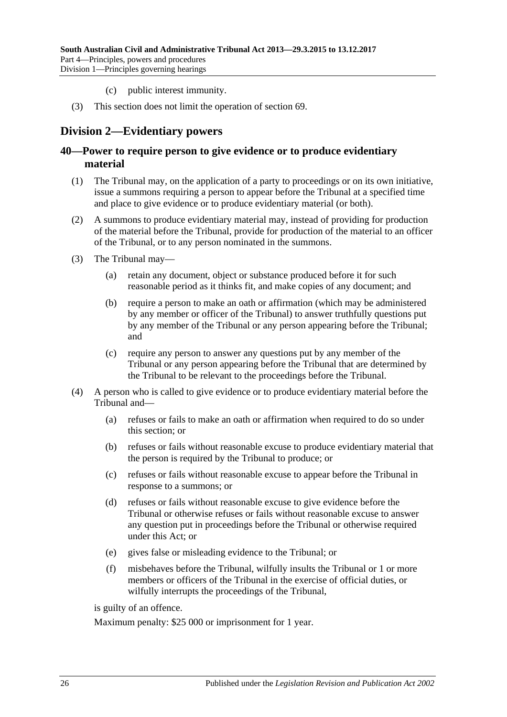- (c) public interest immunity.
- (3) This section does not limit the operation of [section](#page-37-3) 69.

## <span id="page-25-0"></span>**Division 2—Evidentiary powers**

### <span id="page-25-1"></span>**40—Power to require person to give evidence or to produce evidentiary material**

- (1) The Tribunal may, on the application of a party to proceedings or on its own initiative, issue a summons requiring a person to appear before the Tribunal at a specified time and place to give evidence or to produce evidentiary material (or both).
- (2) A summons to produce evidentiary material may, instead of providing for production of the material before the Tribunal, provide for production of the material to an officer of the Tribunal, or to any person nominated in the summons.
- (3) The Tribunal may—
	- (a) retain any document, object or substance produced before it for such reasonable period as it thinks fit, and make copies of any document; and
	- (b) require a person to make an oath or affirmation (which may be administered by any member or officer of the Tribunal) to answer truthfully questions put by any member of the Tribunal or any person appearing before the Tribunal; and
	- (c) require any person to answer any questions put by any member of the Tribunal or any person appearing before the Tribunal that are determined by the Tribunal to be relevant to the proceedings before the Tribunal.
- (4) A person who is called to give evidence or to produce evidentiary material before the Tribunal and—
	- (a) refuses or fails to make an oath or affirmation when required to do so under this section; or
	- (b) refuses or fails without reasonable excuse to produce evidentiary material that the person is required by the Tribunal to produce; or
	- (c) refuses or fails without reasonable excuse to appear before the Tribunal in response to a summons; or
	- (d) refuses or fails without reasonable excuse to give evidence before the Tribunal or otherwise refuses or fails without reasonable excuse to answer any question put in proceedings before the Tribunal or otherwise required under this Act; or
	- (e) gives false or misleading evidence to the Tribunal; or
	- (f) misbehaves before the Tribunal, wilfully insults the Tribunal or 1 or more members or officers of the Tribunal in the exercise of official duties, or wilfully interrupts the proceedings of the Tribunal,

is guilty of an offence.

Maximum penalty: \$25 000 or imprisonment for 1 year.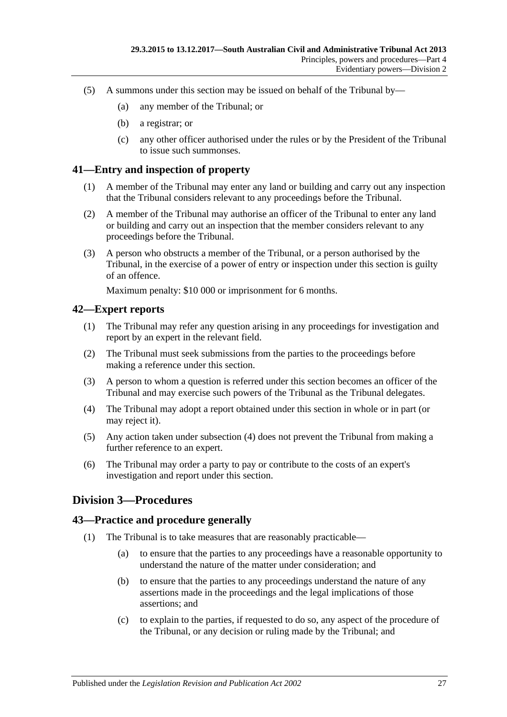- (5) A summons under this section may be issued on behalf of the Tribunal by—
	- (a) any member of the Tribunal; or
	- (b) a registrar; or
	- (c) any other officer authorised under the rules or by the President of the Tribunal to issue such summonses.

#### <span id="page-26-0"></span>**41—Entry and inspection of property**

- (1) A member of the Tribunal may enter any land or building and carry out any inspection that the Tribunal considers relevant to any proceedings before the Tribunal.
- (2) A member of the Tribunal may authorise an officer of the Tribunal to enter any land or building and carry out an inspection that the member considers relevant to any proceedings before the Tribunal.
- (3) A person who obstructs a member of the Tribunal, or a person authorised by the Tribunal, in the exercise of a power of entry or inspection under this section is guilty of an offence.

Maximum penalty: \$10 000 or imprisonment for 6 months.

#### <span id="page-26-1"></span>**42—Expert reports**

- (1) The Tribunal may refer any question arising in any proceedings for investigation and report by an expert in the relevant field.
- (2) The Tribunal must seek submissions from the parties to the proceedings before making a reference under this section.
- (3) A person to whom a question is referred under this section becomes an officer of the Tribunal and may exercise such powers of the Tribunal as the Tribunal delegates.
- <span id="page-26-4"></span>(4) The Tribunal may adopt a report obtained under this section in whole or in part (or may reject it).
- (5) Any action taken under [subsection](#page-26-4) (4) does not prevent the Tribunal from making a further reference to an expert.
- (6) The Tribunal may order a party to pay or contribute to the costs of an expert's investigation and report under this section.

## <span id="page-26-2"></span>**Division 3—Procedures**

#### <span id="page-26-3"></span>**43—Practice and procedure generally**

- (1) The Tribunal is to take measures that are reasonably practicable—
	- (a) to ensure that the parties to any proceedings have a reasonable opportunity to understand the nature of the matter under consideration; and
	- (b) to ensure that the parties to any proceedings understand the nature of any assertions made in the proceedings and the legal implications of those assertions; and
	- (c) to explain to the parties, if requested to do so, any aspect of the procedure of the Tribunal, or any decision or ruling made by the Tribunal; and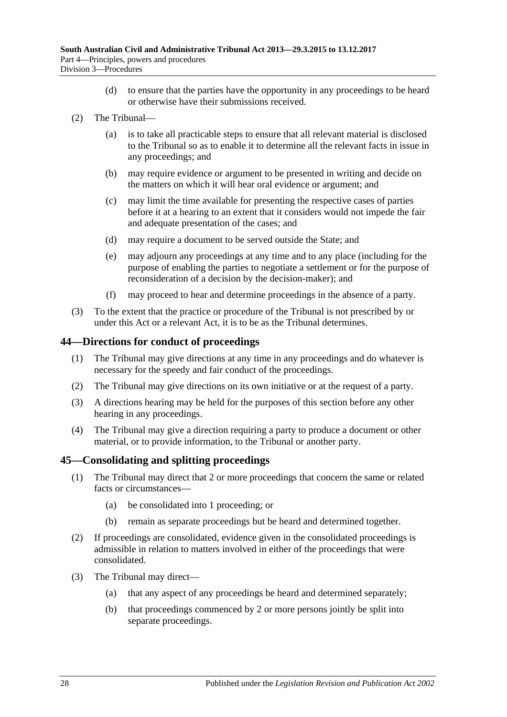- (d) to ensure that the parties have the opportunity in any proceedings to be heard or otherwise have their submissions received.
- (2) The Tribunal—
	- (a) is to take all practicable steps to ensure that all relevant material is disclosed to the Tribunal so as to enable it to determine all the relevant facts in issue in any proceedings; and
	- (b) may require evidence or argument to be presented in writing and decide on the matters on which it will hear oral evidence or argument; and
	- (c) may limit the time available for presenting the respective cases of parties before it at a hearing to an extent that it considers would not impede the fair and adequate presentation of the cases; and
	- (d) may require a document to be served outside the State; and
	- (e) may adjourn any proceedings at any time and to any place (including for the purpose of enabling the parties to negotiate a settlement or for the purpose of reconsideration of a decision by the decision-maker); and
	- (f) may proceed to hear and determine proceedings in the absence of a party.
- (3) To the extent that the practice or procedure of the Tribunal is not prescribed by or under this Act or a relevant Act, it is to be as the Tribunal determines.

### <span id="page-27-0"></span>**44—Directions for conduct of proceedings**

- (1) The Tribunal may give directions at any time in any proceedings and do whatever is necessary for the speedy and fair conduct of the proceedings.
- (2) The Tribunal may give directions on its own initiative or at the request of a party.
- (3) A directions hearing may be held for the purposes of this section before any other hearing in any proceedings.
- (4) The Tribunal may give a direction requiring a party to produce a document or other material, or to provide information, to the Tribunal or another party.

## <span id="page-27-1"></span>**45—Consolidating and splitting proceedings**

- (1) The Tribunal may direct that 2 or more proceedings that concern the same or related facts or circumstances—
	- (a) be consolidated into 1 proceeding; or
	- (b) remain as separate proceedings but be heard and determined together.
- (2) If proceedings are consolidated, evidence given in the consolidated proceedings is admissible in relation to matters involved in either of the proceedings that were consolidated.
- (3) The Tribunal may direct—
	- (a) that any aspect of any proceedings be heard and determined separately;
	- (b) that proceedings commenced by 2 or more persons jointly be split into separate proceedings.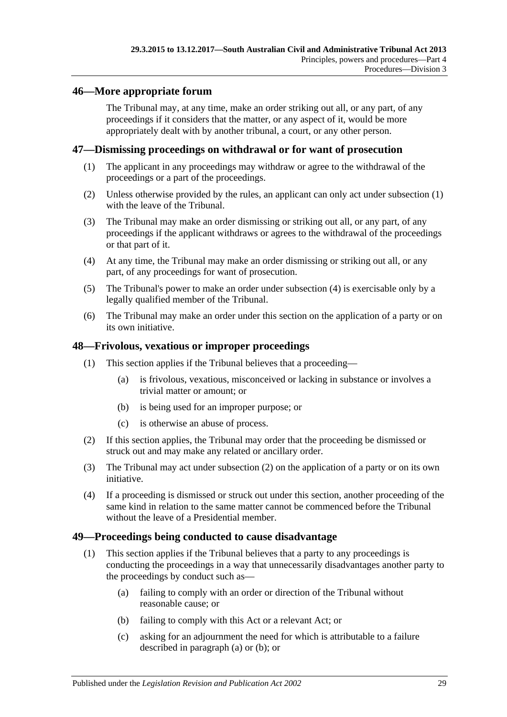## <span id="page-28-0"></span>**46—More appropriate forum**

The Tribunal may, at any time, make an order striking out all, or any part, of any proceedings if it considers that the matter, or any aspect of it, would be more appropriately dealt with by another tribunal, a court, or any other person.

### <span id="page-28-4"></span><span id="page-28-1"></span>**47—Dismissing proceedings on withdrawal or for want of prosecution**

- (1) The applicant in any proceedings may withdraw or agree to the withdrawal of the proceedings or a part of the proceedings.
- (2) Unless otherwise provided by the rules, an applicant can only act under [subsection](#page-28-4) (1) with the leave of the Tribunal.
- (3) The Tribunal may make an order dismissing or striking out all, or any part, of any proceedings if the applicant withdraws or agrees to the withdrawal of the proceedings or that part of it.
- <span id="page-28-5"></span>(4) At any time, the Tribunal may make an order dismissing or striking out all, or any part, of any proceedings for want of prosecution.
- (5) The Tribunal's power to make an order under [subsection](#page-28-5) (4) is exercisable only by a legally qualified member of the Tribunal.
- (6) The Tribunal may make an order under this section on the application of a party or on its own initiative.

### <span id="page-28-2"></span>**48—Frivolous, vexatious or improper proceedings**

- (1) This section applies if the Tribunal believes that a proceeding—
	- (a) is frivolous, vexatious, misconceived or lacking in substance or involves a trivial matter or amount; or
	- (b) is being used for an improper purpose; or
	- (c) is otherwise an abuse of process.
- <span id="page-28-6"></span>(2) If this section applies, the Tribunal may order that the proceeding be dismissed or struck out and may make any related or ancillary order.
- (3) The Tribunal may act under [subsection](#page-28-6) (2) on the application of a party or on its own initiative.
- (4) If a proceeding is dismissed or struck out under this section, another proceeding of the same kind in relation to the same matter cannot be commenced before the Tribunal without the leave of a Presidential member.

#### <span id="page-28-3"></span>**49—Proceedings being conducted to cause disadvantage**

- <span id="page-28-8"></span><span id="page-28-7"></span>(1) This section applies if the Tribunal believes that a party to any proceedings is conducting the proceedings in a way that unnecessarily disadvantages another party to the proceedings by conduct such as—
	- (a) failing to comply with an order or direction of the Tribunal without reasonable cause; or
	- (b) failing to comply with this Act or a relevant Act; or
	- (c) asking for an adjournment the need for which is attributable to a failure described in [paragraph](#page-28-7) (a) or [\(b\);](#page-28-8) or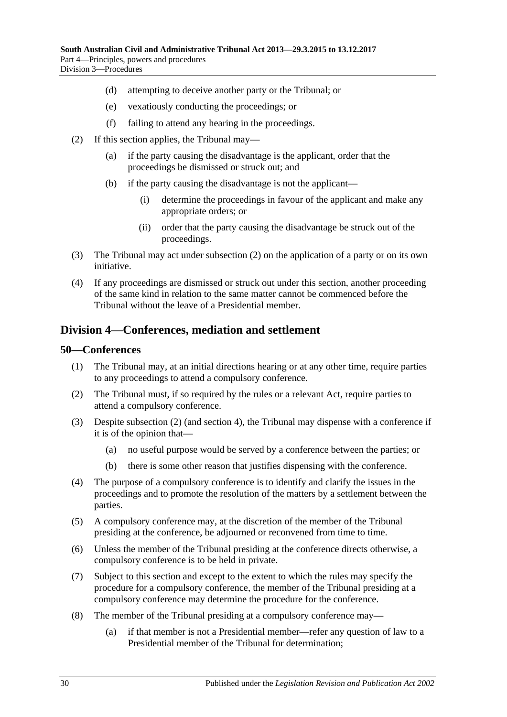- (d) attempting to deceive another party or the Tribunal; or
- (e) vexatiously conducting the proceedings; or
- (f) failing to attend any hearing in the proceedings.
- <span id="page-29-2"></span>(2) If this section applies, the Tribunal may—
	- (a) if the party causing the disadvantage is the applicant, order that the proceedings be dismissed or struck out; and
	- (b) if the party causing the disadvantage is not the applicant—
		- (i) determine the proceedings in favour of the applicant and make any appropriate orders; or
		- (ii) order that the party causing the disadvantage be struck out of the proceedings.
- (3) The Tribunal may act under [subsection](#page-29-2) (2) on the application of a party or on its own initiative.
- (4) If any proceedings are dismissed or struck out under this section, another proceeding of the same kind in relation to the same matter cannot be commenced before the Tribunal without the leave of a Presidential member.

## <span id="page-29-0"></span>**Division 4—Conferences, mediation and settlement**

#### <span id="page-29-1"></span>**50—Conferences**

- (1) The Tribunal may, at an initial directions hearing or at any other time, require parties to any proceedings to attend a compulsory conference.
- <span id="page-29-3"></span>(2) The Tribunal must, if so required by the rules or a relevant Act, require parties to attend a compulsory conference.
- (3) Despite [subsection](#page-29-3) (2) (and [section](#page-5-0) 4), the Tribunal may dispense with a conference if it is of the opinion that—
	- (a) no useful purpose would be served by a conference between the parties; or
	- (b) there is some other reason that justifies dispensing with the conference.
- (4) The purpose of a compulsory conference is to identify and clarify the issues in the proceedings and to promote the resolution of the matters by a settlement between the parties.
- (5) A compulsory conference may, at the discretion of the member of the Tribunal presiding at the conference, be adjourned or reconvened from time to time.
- (6) Unless the member of the Tribunal presiding at the conference directs otherwise, a compulsory conference is to be held in private.
- (7) Subject to this section and except to the extent to which the rules may specify the procedure for a compulsory conference, the member of the Tribunal presiding at a compulsory conference may determine the procedure for the conference.
- <span id="page-29-4"></span>(8) The member of the Tribunal presiding at a compulsory conference may—
	- (a) if that member is not a Presidential member—refer any question of law to a Presidential member of the Tribunal for determination;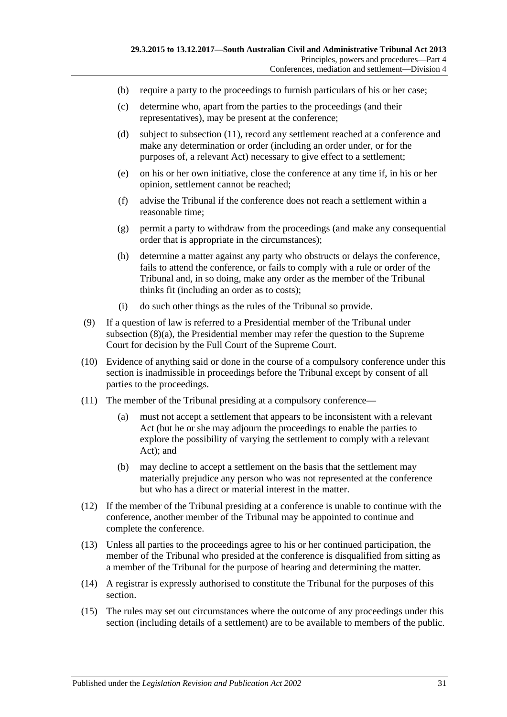- (b) require a party to the proceedings to furnish particulars of his or her case;
- (c) determine who, apart from the parties to the proceedings (and their representatives), may be present at the conference;
- (d) subject to [subsection](#page-30-0) (11), record any settlement reached at a conference and make any determination or order (including an order under, or for the purposes of, a relevant Act) necessary to give effect to a settlement;
- (e) on his or her own initiative, close the conference at any time if, in his or her opinion, settlement cannot be reached;
- (f) advise the Tribunal if the conference does not reach a settlement within a reasonable time;
- (g) permit a party to withdraw from the proceedings (and make any consequential order that is appropriate in the circumstances);
- (h) determine a matter against any party who obstructs or delays the conference, fails to attend the conference, or fails to comply with a rule or order of the Tribunal and, in so doing, make any order as the member of the Tribunal thinks fit (including an order as to costs);
- (i) do such other things as the rules of the Tribunal so provide.
- (9) If a question of law is referred to a Presidential member of the Tribunal under [subsection](#page-29-4) (8)(a), the Presidential member may refer the question to the Supreme Court for decision by the Full Court of the Supreme Court.
- (10) Evidence of anything said or done in the course of a compulsory conference under this section is inadmissible in proceedings before the Tribunal except by consent of all parties to the proceedings.
- <span id="page-30-0"></span>(11) The member of the Tribunal presiding at a compulsory conference—
	- (a) must not accept a settlement that appears to be inconsistent with a relevant Act (but he or she may adjourn the proceedings to enable the parties to explore the possibility of varying the settlement to comply with a relevant Act); and
	- (b) may decline to accept a settlement on the basis that the settlement may materially prejudice any person who was not represented at the conference but who has a direct or material interest in the matter.
- (12) If the member of the Tribunal presiding at a conference is unable to continue with the conference, another member of the Tribunal may be appointed to continue and complete the conference.
- (13) Unless all parties to the proceedings agree to his or her continued participation, the member of the Tribunal who presided at the conference is disqualified from sitting as a member of the Tribunal for the purpose of hearing and determining the matter.
- (14) A registrar is expressly authorised to constitute the Tribunal for the purposes of this section.
- (15) The rules may set out circumstances where the outcome of any proceedings under this section (including details of a settlement) are to be available to members of the public.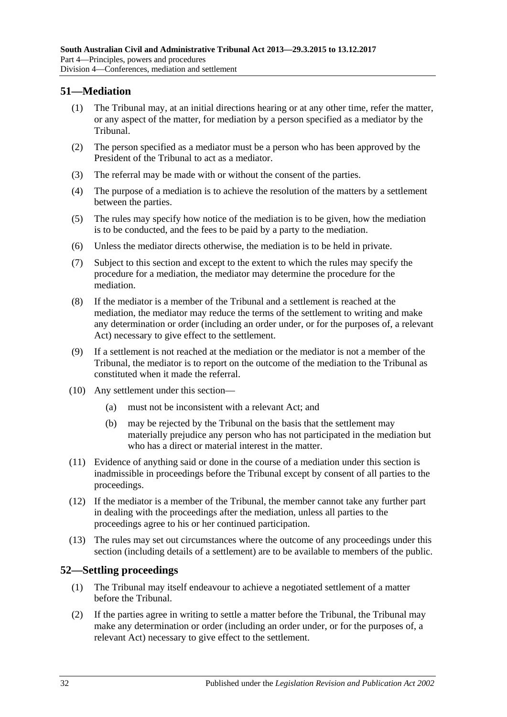## <span id="page-31-0"></span>**51—Mediation**

- (1) The Tribunal may, at an initial directions hearing or at any other time, refer the matter, or any aspect of the matter, for mediation by a person specified as a mediator by the Tribunal.
- (2) The person specified as a mediator must be a person who has been approved by the President of the Tribunal to act as a mediator.
- (3) The referral may be made with or without the consent of the parties.
- (4) The purpose of a mediation is to achieve the resolution of the matters by a settlement between the parties.
- (5) The rules may specify how notice of the mediation is to be given, how the mediation is to be conducted, and the fees to be paid by a party to the mediation.
- (6) Unless the mediator directs otherwise, the mediation is to be held in private.
- (7) Subject to this section and except to the extent to which the rules may specify the procedure for a mediation, the mediator may determine the procedure for the mediation.
- (8) If the mediator is a member of the Tribunal and a settlement is reached at the mediation, the mediator may reduce the terms of the settlement to writing and make any determination or order (including an order under, or for the purposes of, a relevant Act) necessary to give effect to the settlement.
- (9) If a settlement is not reached at the mediation or the mediator is not a member of the Tribunal, the mediator is to report on the outcome of the mediation to the Tribunal as constituted when it made the referral.
- (10) Any settlement under this section—
	- (a) must not be inconsistent with a relevant Act; and
	- (b) may be rejected by the Tribunal on the basis that the settlement may materially prejudice any person who has not participated in the mediation but who has a direct or material interest in the matter.
- (11) Evidence of anything said or done in the course of a mediation under this section is inadmissible in proceedings before the Tribunal except by consent of all parties to the proceedings.
- (12) If the mediator is a member of the Tribunal, the member cannot take any further part in dealing with the proceedings after the mediation, unless all parties to the proceedings agree to his or her continued participation.
- (13) The rules may set out circumstances where the outcome of any proceedings under this section (including details of a settlement) are to be available to members of the public.

## <span id="page-31-1"></span>**52—Settling proceedings**

- (1) The Tribunal may itself endeavour to achieve a negotiated settlement of a matter before the Tribunal.
- <span id="page-31-2"></span>(2) If the parties agree in writing to settle a matter before the Tribunal, the Tribunal may make any determination or order (including an order under, or for the purposes of, a relevant Act) necessary to give effect to the settlement.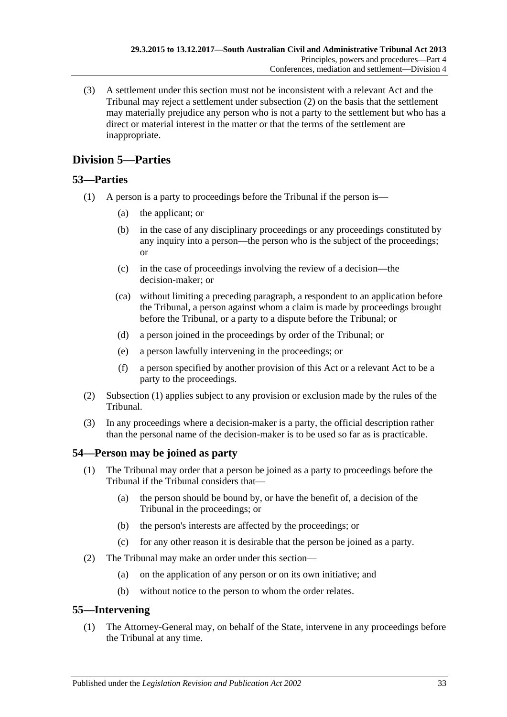(3) A settlement under this section must not be inconsistent with a relevant Act and the Tribunal may reject a settlement under [subsection](#page-31-2) (2) on the basis that the settlement may materially prejudice any person who is not a party to the settlement but who has a direct or material interest in the matter or that the terms of the settlement are inappropriate.

## <span id="page-32-0"></span>**Division 5—Parties**

## <span id="page-32-4"></span><span id="page-32-1"></span>**53—Parties**

- (1) A person is a party to proceedings before the Tribunal if the person is—
	- (a) the applicant; or
	- (b) in the case of any disciplinary proceedings or any proceedings constituted by any inquiry into a person—the person who is the subject of the proceedings; or
	- (c) in the case of proceedings involving the review of a decision—the decision-maker; or
	- (ca) without limiting a preceding paragraph, a respondent to an application before the Tribunal, a person against whom a claim is made by proceedings brought before the Tribunal, or a party to a dispute before the Tribunal; or
	- (d) a person joined in the proceedings by order of the Tribunal; or
	- (e) a person lawfully intervening in the proceedings; or
	- (f) a person specified by another provision of this Act or a relevant Act to be a party to the proceedings.
- (2) [Subsection](#page-32-4) (1) applies subject to any provision or exclusion made by the rules of the Tribunal.
- (3) In any proceedings where a decision-maker is a party, the official description rather than the personal name of the decision-maker is to be used so far as is practicable.

## <span id="page-32-2"></span>**54—Person may be joined as party**

- (1) The Tribunal may order that a person be joined as a party to proceedings before the Tribunal if the Tribunal considers that—
	- (a) the person should be bound by, or have the benefit of, a decision of the Tribunal in the proceedings; or
	- (b) the person's interests are affected by the proceedings; or
	- (c) for any other reason it is desirable that the person be joined as a party.
- (2) The Tribunal may make an order under this section—
	- (a) on the application of any person or on its own initiative; and
	- (b) without notice to the person to whom the order relates.

## <span id="page-32-3"></span>**55—Intervening**

(1) The Attorney-General may, on behalf of the State, intervene in any proceedings before the Tribunal at any time.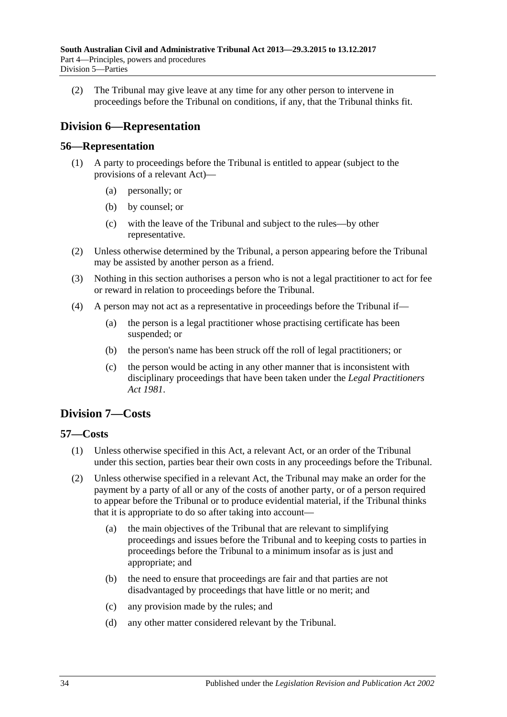(2) The Tribunal may give leave at any time for any other person to intervene in proceedings before the Tribunal on conditions, if any, that the Tribunal thinks fit.

## <span id="page-33-0"></span>**Division 6—Representation**

## <span id="page-33-1"></span>**56—Representation**

- (1) A party to proceedings before the Tribunal is entitled to appear (subject to the provisions of a relevant Act)—
	- (a) personally; or
	- (b) by counsel; or
	- (c) with the leave of the Tribunal and subject to the rules—by other representative.
- (2) Unless otherwise determined by the Tribunal, a person appearing before the Tribunal may be assisted by another person as a friend.
- (3) Nothing in this section authorises a person who is not a legal practitioner to act for fee or reward in relation to proceedings before the Tribunal.
- (4) A person may not act as a representative in proceedings before the Tribunal if—
	- (a) the person is a legal practitioner whose practising certificate has been suspended; or
	- (b) the person's name has been struck off the roll of legal practitioners; or
	- (c) the person would be acting in any other manner that is inconsistent with disciplinary proceedings that have been taken under the *[Legal Practitioners](http://www.legislation.sa.gov.au/index.aspx?action=legref&type=act&legtitle=Legal%20Practitioners%20Act%201981)  Act [1981](http://www.legislation.sa.gov.au/index.aspx?action=legref&type=act&legtitle=Legal%20Practitioners%20Act%201981)*.

## <span id="page-33-2"></span>**Division 7—Costs**

## <span id="page-33-3"></span>**57—Costs**

- (1) Unless otherwise specified in this Act, a relevant Act, or an order of the Tribunal under this section, parties bear their own costs in any proceedings before the Tribunal.
- <span id="page-33-4"></span>(2) Unless otherwise specified in a relevant Act, the Tribunal may make an order for the payment by a party of all or any of the costs of another party, or of a person required to appear before the Tribunal or to produce evidential material, if the Tribunal thinks that it is appropriate to do so after taking into account—
	- (a) the main objectives of the Tribunal that are relevant to simplifying proceedings and issues before the Tribunal and to keeping costs to parties in proceedings before the Tribunal to a minimum insofar as is just and appropriate; and
	- (b) the need to ensure that proceedings are fair and that parties are not disadvantaged by proceedings that have little or no merit; and
	- (c) any provision made by the rules; and
	- (d) any other matter considered relevant by the Tribunal.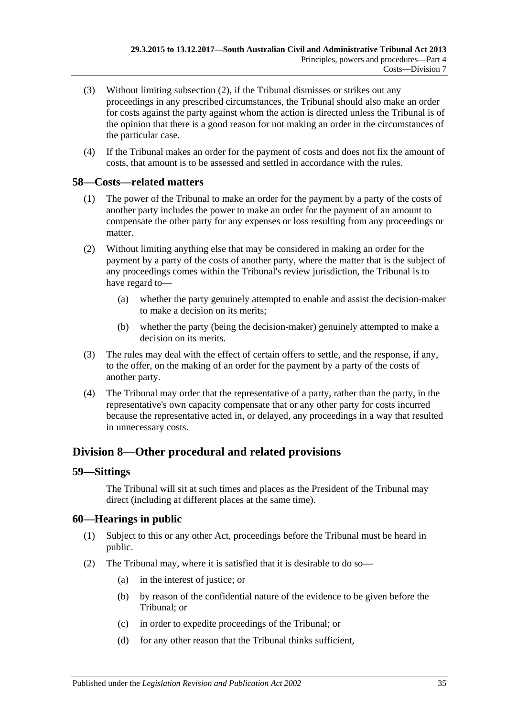- (3) Without limiting [subsection](#page-33-4) (2), if the Tribunal dismisses or strikes out any proceedings in any prescribed circumstances, the Tribunal should also make an order for costs against the party against whom the action is directed unless the Tribunal is of the opinion that there is a good reason for not making an order in the circumstances of the particular case.
- (4) If the Tribunal makes an order for the payment of costs and does not fix the amount of costs, that amount is to be assessed and settled in accordance with the rules.

### <span id="page-34-0"></span>**58—Costs—related matters**

- (1) The power of the Tribunal to make an order for the payment by a party of the costs of another party includes the power to make an order for the payment of an amount to compensate the other party for any expenses or loss resulting from any proceedings or matter.
- (2) Without limiting anything else that may be considered in making an order for the payment by a party of the costs of another party, where the matter that is the subject of any proceedings comes within the Tribunal's review jurisdiction, the Tribunal is to have regard to—
	- (a) whether the party genuinely attempted to enable and assist the decision-maker to make a decision on its merits;
	- (b) whether the party (being the decision-maker) genuinely attempted to make a decision on its merits.
- (3) The rules may deal with the effect of certain offers to settle, and the response, if any, to the offer, on the making of an order for the payment by a party of the costs of another party.
- (4) The Tribunal may order that the representative of a party, rather than the party, in the representative's own capacity compensate that or any other party for costs incurred because the representative acted in, or delayed, any proceedings in a way that resulted in unnecessary costs.

## <span id="page-34-1"></span>**Division 8—Other procedural and related provisions**

#### <span id="page-34-2"></span>**59—Sittings**

The Tribunal will sit at such times and places as the President of the Tribunal may direct (including at different places at the same time).

## <span id="page-34-3"></span>**60—Hearings in public**

- (1) Subject to this or any other Act, proceedings before the Tribunal must be heard in public.
- <span id="page-34-4"></span>(2) The Tribunal may, where it is satisfied that it is desirable to do so—
	- (a) in the interest of justice; or
	- (b) by reason of the confidential nature of the evidence to be given before the Tribunal; or
	- (c) in order to expedite proceedings of the Tribunal; or
	- (d) for any other reason that the Tribunal thinks sufficient,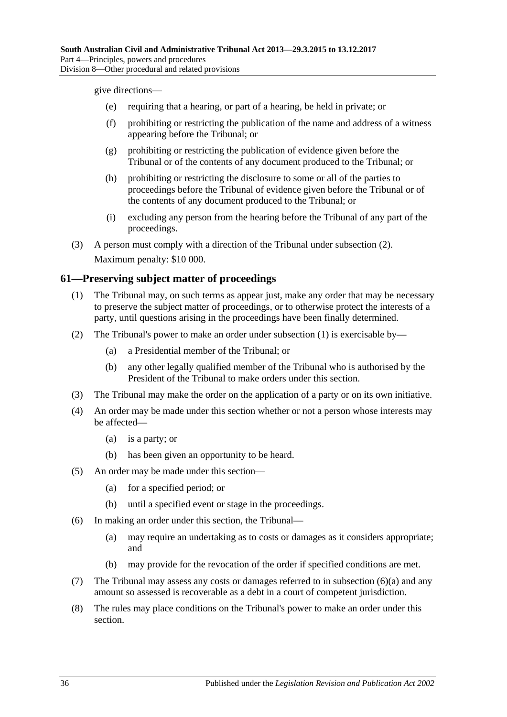give directions—

- (e) requiring that a hearing, or part of a hearing, be held in private; or
- (f) prohibiting or restricting the publication of the name and address of a witness appearing before the Tribunal; or
- (g) prohibiting or restricting the publication of evidence given before the Tribunal or of the contents of any document produced to the Tribunal; or
- (h) prohibiting or restricting the disclosure to some or all of the parties to proceedings before the Tribunal of evidence given before the Tribunal or of the contents of any document produced to the Tribunal; or
- (i) excluding any person from the hearing before the Tribunal of any part of the proceedings.
- (3) A person must comply with a direction of the Tribunal under [subsection](#page-34-4) (2). Maximum penalty: \$10 000.

## <span id="page-35-1"></span><span id="page-35-0"></span>**61—Preserving subject matter of proceedings**

- (1) The Tribunal may, on such terms as appear just, make any order that may be necessary to preserve the subject matter of proceedings, or to otherwise protect the interests of a party, until questions arising in the proceedings have been finally determined.
- (2) The Tribunal's power to make an order under [subsection](#page-35-1) (1) is exercisable by—
	- (a) a Presidential member of the Tribunal; or
	- (b) any other legally qualified member of the Tribunal who is authorised by the President of the Tribunal to make orders under this section.
- (3) The Tribunal may make the order on the application of a party or on its own initiative.
- (4) An order may be made under this section whether or not a person whose interests may be affected—
	- (a) is a party; or
	- (b) has been given an opportunity to be heard.
- (5) An order may be made under this section—
	- (a) for a specified period; or
	- (b) until a specified event or stage in the proceedings.
- <span id="page-35-2"></span>(6) In making an order under this section, the Tribunal—
	- (a) may require an undertaking as to costs or damages as it considers appropriate; and
	- (b) may provide for the revocation of the order if specified conditions are met.
- (7) The Tribunal may assess any costs or damages referred to in [subsection](#page-35-2) (6)(a) and any amount so assessed is recoverable as a debt in a court of competent jurisdiction.
- (8) The rules may place conditions on the Tribunal's power to make an order under this section.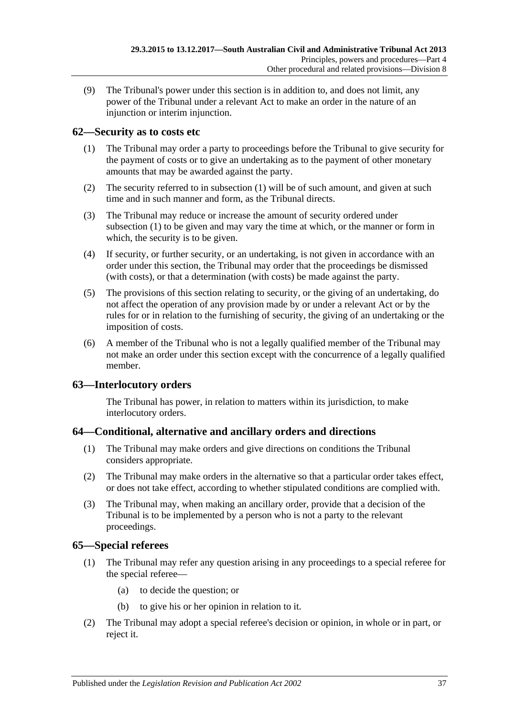(9) The Tribunal's power under this section is in addition to, and does not limit, any power of the Tribunal under a relevant Act to make an order in the nature of an injunction or interim injunction.

## <span id="page-36-4"></span><span id="page-36-0"></span>**62—Security as to costs etc**

- (1) The Tribunal may order a party to proceedings before the Tribunal to give security for the payment of costs or to give an undertaking as to the payment of other monetary amounts that may be awarded against the party.
- (2) The security referred to in [subsection](#page-36-4) (1) will be of such amount, and given at such time and in such manner and form, as the Tribunal directs.
- (3) The Tribunal may reduce or increase the amount of security ordered under [subsection](#page-36-4) (1) to be given and may vary the time at which, or the manner or form in which, the security is to be given.
- (4) If security, or further security, or an undertaking, is not given in accordance with an order under this section, the Tribunal may order that the proceedings be dismissed (with costs), or that a determination (with costs) be made against the party.
- (5) The provisions of this section relating to security, or the giving of an undertaking, do not affect the operation of any provision made by or under a relevant Act or by the rules for or in relation to the furnishing of security, the giving of an undertaking or the imposition of costs.
- (6) A member of the Tribunal who is not a legally qualified member of the Tribunal may not make an order under this section except with the concurrence of a legally qualified member.

## <span id="page-36-1"></span>**63—Interlocutory orders**

The Tribunal has power, in relation to matters within its jurisdiction, to make interlocutory orders.

## <span id="page-36-2"></span>**64—Conditional, alternative and ancillary orders and directions**

- (1) The Tribunal may make orders and give directions on conditions the Tribunal considers appropriate.
- (2) The Tribunal may make orders in the alternative so that a particular order takes effect, or does not take effect, according to whether stipulated conditions are complied with.
- (3) The Tribunal may, when making an ancillary order, provide that a decision of the Tribunal is to be implemented by a person who is not a party to the relevant proceedings.

## <span id="page-36-3"></span>**65—Special referees**

- (1) The Tribunal may refer any question arising in any proceedings to a special referee for the special referee—
	- (a) to decide the question; or
	- (b) to give his or her opinion in relation to it.
- (2) The Tribunal may adopt a special referee's decision or opinion, in whole or in part, or reject it.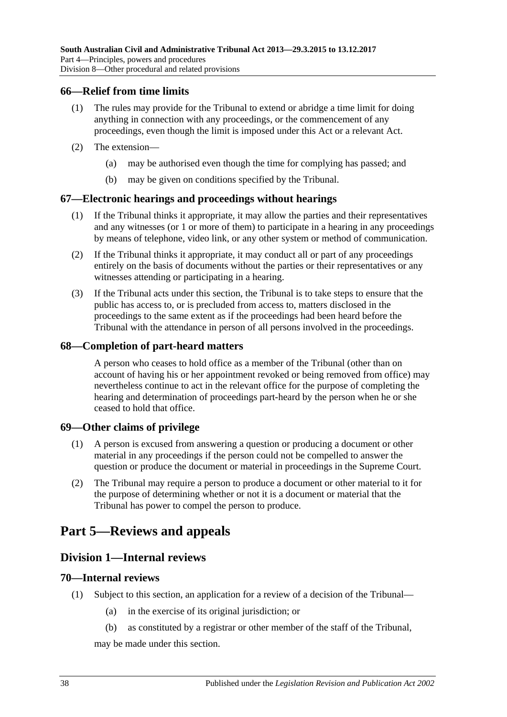#### <span id="page-37-0"></span>**66—Relief from time limits**

- (1) The rules may provide for the Tribunal to extend or abridge a time limit for doing anything in connection with any proceedings, or the commencement of any proceedings, even though the limit is imposed under this Act or a relevant Act.
- (2) The extension—
	- (a) may be authorised even though the time for complying has passed; and
	- (b) may be given on conditions specified by the Tribunal.

### <span id="page-37-1"></span>**67—Electronic hearings and proceedings without hearings**

- (1) If the Tribunal thinks it appropriate, it may allow the parties and their representatives and any witnesses (or 1 or more of them) to participate in a hearing in any proceedings by means of telephone, video link, or any other system or method of communication.
- (2) If the Tribunal thinks it appropriate, it may conduct all or part of any proceedings entirely on the basis of documents without the parties or their representatives or any witnesses attending or participating in a hearing.
- (3) If the Tribunal acts under this section, the Tribunal is to take steps to ensure that the public has access to, or is precluded from access to, matters disclosed in the proceedings to the same extent as if the proceedings had been heard before the Tribunal with the attendance in person of all persons involved in the proceedings.

### <span id="page-37-2"></span>**68—Completion of part-heard matters**

A person who ceases to hold office as a member of the Tribunal (other than on account of having his or her appointment revoked or being removed from office) may nevertheless continue to act in the relevant office for the purpose of completing the hearing and determination of proceedings part-heard by the person when he or she ceased to hold that office.

#### <span id="page-37-3"></span>**69—Other claims of privilege**

- (1) A person is excused from answering a question or producing a document or other material in any proceedings if the person could not be compelled to answer the question or produce the document or material in proceedings in the Supreme Court.
- (2) The Tribunal may require a person to produce a document or other material to it for the purpose of determining whether or not it is a document or material that the Tribunal has power to compel the person to produce.

# <span id="page-37-5"></span><span id="page-37-4"></span>**Part 5—Reviews and appeals**

## **Division 1—Internal reviews**

#### <span id="page-37-6"></span>**70—Internal reviews**

- <span id="page-37-7"></span>(1) Subject to this section, an application for a review of a decision of the Tribunal—
	- (a) in the exercise of its original jurisdiction; or
	- (b) as constituted by a registrar or other member of the staff of the Tribunal,

may be made under this section.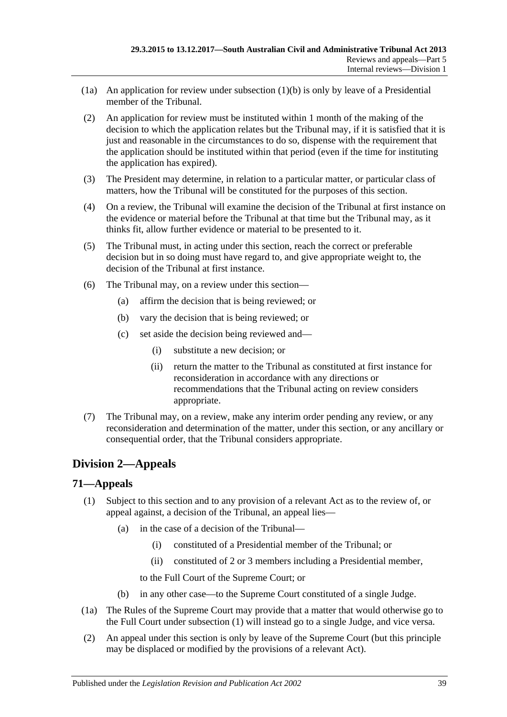- (1a) An application for review under [subsection](#page-37-7)  $(1)(b)$  is only by leave of a Presidential member of the Tribunal.
- (2) An application for review must be instituted within 1 month of the making of the decision to which the application relates but the Tribunal may, if it is satisfied that it is just and reasonable in the circumstances to do so, dispense with the requirement that the application should be instituted within that period (even if the time for instituting the application has expired).
- (3) The President may determine, in relation to a particular matter, or particular class of matters, how the Tribunal will be constituted for the purposes of this section.
- (4) On a review, the Tribunal will examine the decision of the Tribunal at first instance on the evidence or material before the Tribunal at that time but the Tribunal may, as it thinks fit, allow further evidence or material to be presented to it.
- (5) The Tribunal must, in acting under this section, reach the correct or preferable decision but in so doing must have regard to, and give appropriate weight to, the decision of the Tribunal at first instance.
- (6) The Tribunal may, on a review under this section—
	- (a) affirm the decision that is being reviewed; or
	- (b) vary the decision that is being reviewed; or
	- (c) set aside the decision being reviewed and—
		- (i) substitute a new decision; or
		- (ii) return the matter to the Tribunal as constituted at first instance for reconsideration in accordance with any directions or recommendations that the Tribunal acting on review considers appropriate.
- (7) The Tribunal may, on a review, make any interim order pending any review, or any reconsideration and determination of the matter, under this section, or any ancillary or consequential order, that the Tribunal considers appropriate.

## <span id="page-38-0"></span>**Division 2—Appeals**

#### <span id="page-38-2"></span><span id="page-38-1"></span>**71—Appeals**

- (1) Subject to this section and to any provision of a relevant Act as to the review of, or appeal against, a decision of the Tribunal, an appeal lies—
	- (a) in the case of a decision of the Tribunal—
		- (i) constituted of a Presidential member of the Tribunal; or
		- (ii) constituted of 2 or 3 members including a Presidential member,

to the Full Court of the Supreme Court; or

- (b) in any other case—to the Supreme Court constituted of a single Judge.
- (1a) The Rules of the Supreme Court may provide that a matter that would otherwise go to the Full Court under [subsection](#page-38-2) (1) will instead go to a single Judge, and vice versa.
- <span id="page-38-3"></span>(2) An appeal under this section is only by leave of the Supreme Court (but this principle may be displaced or modified by the provisions of a relevant Act).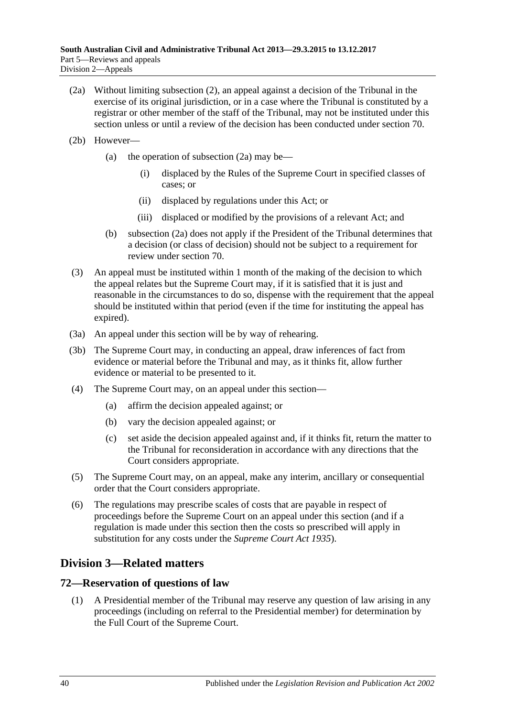- <span id="page-39-2"></span>(2a) Without limiting [subsection](#page-38-3) (2), an appeal against a decision of the Tribunal in the exercise of its original jurisdiction, or in a case where the Tribunal is constituted by a registrar or other member of the staff of the Tribunal, may not be instituted under this section unless or until a review of the decision has been conducted under [section](#page-37-6) 70.
- (2b) However
	- (a) the operation of [subsection](#page-39-2)  $(2a)$  may be—
		- (i) displaced by the Rules of the Supreme Court in specified classes of cases; or
		- (ii) displaced by regulations under this Act; or
		- (iii) displaced or modified by the provisions of a relevant Act; and
	- (b) [subsection](#page-39-2) (2a) does not apply if the President of the Tribunal determines that a decision (or class of decision) should not be subject to a requirement for review under [section](#page-37-6) 70.
- (3) An appeal must be instituted within 1 month of the making of the decision to which the appeal relates but the Supreme Court may, if it is satisfied that it is just and reasonable in the circumstances to do so, dispense with the requirement that the appeal should be instituted within that period (even if the time for instituting the appeal has expired).
- (3a) An appeal under this section will be by way of rehearing.
- (3b) The Supreme Court may, in conducting an appeal, draw inferences of fact from evidence or material before the Tribunal and may, as it thinks fit, allow further evidence or material to be presented to it.
- (4) The Supreme Court may, on an appeal under this section—
	- (a) affirm the decision appealed against; or
	- (b) vary the decision appealed against; or
	- (c) set aside the decision appealed against and, if it thinks fit, return the matter to the Tribunal for reconsideration in accordance with any directions that the Court considers appropriate.
- (5) The Supreme Court may, on an appeal, make any interim, ancillary or consequential order that the Court considers appropriate.
- (6) The regulations may prescribe scales of costs that are payable in respect of proceedings before the Supreme Court on an appeal under this section (and if a regulation is made under this section then the costs so prescribed will apply in substitution for any costs under the *[Supreme Court Act](http://www.legislation.sa.gov.au/index.aspx?action=legref&type=act&legtitle=Supreme%20Court%20Act%201935) 1935*).

## <span id="page-39-0"></span>**Division 3—Related matters**

## <span id="page-39-1"></span>**72—Reservation of questions of law**

(1) A Presidential member of the Tribunal may reserve any question of law arising in any proceedings (including on referral to the Presidential member) for determination by the Full Court of the Supreme Court.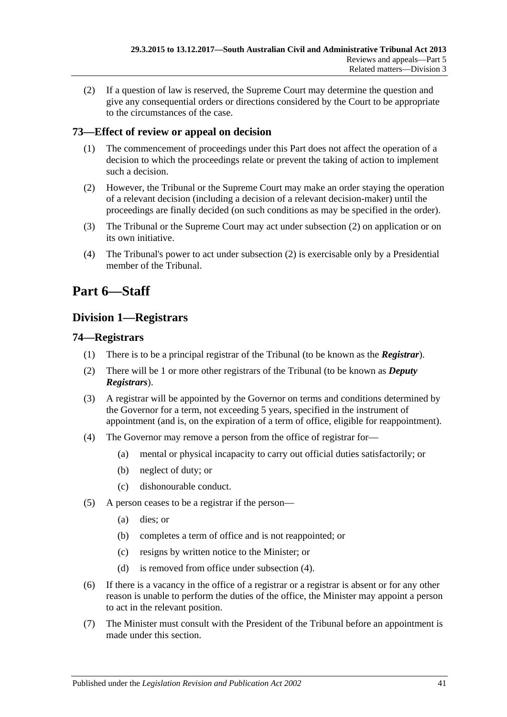(2) If a question of law is reserved, the Supreme Court may determine the question and give any consequential orders or directions considered by the Court to be appropriate to the circumstances of the case.

## <span id="page-40-0"></span>**73—Effect of review or appeal on decision**

- (1) The commencement of proceedings under this Part does not affect the operation of a decision to which the proceedings relate or prevent the taking of action to implement such a decision.
- <span id="page-40-4"></span>(2) However, the Tribunal or the Supreme Court may make an order staying the operation of a relevant decision (including a decision of a relevant decision-maker) until the proceedings are finally decided (on such conditions as may be specified in the order).
- (3) The Tribunal or the Supreme Court may act under [subsection](#page-40-4) (2) on application or on its own initiative.
- (4) The Tribunal's power to act under [subsection](#page-40-4) (2) is exercisable only by a Presidential member of the Tribunal.

# <span id="page-40-1"></span>**Part 6—Staff**

## <span id="page-40-2"></span>**Division 1—Registrars**

## <span id="page-40-3"></span>**74—Registrars**

- (1) There is to be a principal registrar of the Tribunal (to be known as the *Registrar*).
- (2) There will be 1 or more other registrars of the Tribunal (to be known as *Deputy Registrars*).
- (3) A registrar will be appointed by the Governor on terms and conditions determined by the Governor for a term, not exceeding 5 years, specified in the instrument of appointment (and is, on the expiration of a term of office, eligible for reappointment).
- <span id="page-40-5"></span>(4) The Governor may remove a person from the office of registrar for—
	- (a) mental or physical incapacity to carry out official duties satisfactorily; or
	- (b) neglect of duty; or
	- (c) dishonourable conduct.
- (5) A person ceases to be a registrar if the person—
	- (a) dies; or
	- (b) completes a term of office and is not reappointed; or
	- (c) resigns by written notice to the Minister; or
	- (d) is removed from office under [subsection](#page-40-5) (4).
- (6) If there is a vacancy in the office of a registrar or a registrar is absent or for any other reason is unable to perform the duties of the office, the Minister may appoint a person to act in the relevant position.
- (7) The Minister must consult with the President of the Tribunal before an appointment is made under this section.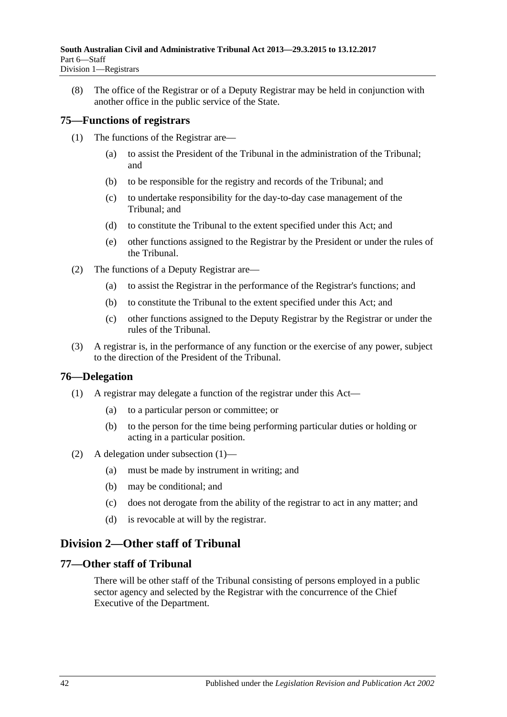(8) The office of the Registrar or of a Deputy Registrar may be held in conjunction with another office in the public service of the State.

## <span id="page-41-0"></span>**75—Functions of registrars**

- (1) The functions of the Registrar are—
	- (a) to assist the President of the Tribunal in the administration of the Tribunal; and
	- (b) to be responsible for the registry and records of the Tribunal; and
	- (c) to undertake responsibility for the day-to-day case management of the Tribunal; and
	- (d) to constitute the Tribunal to the extent specified under this Act; and
	- (e) other functions assigned to the Registrar by the President or under the rules of the Tribunal.
- (2) The functions of a Deputy Registrar are—
	- (a) to assist the Registrar in the performance of the Registrar's functions; and
	- (b) to constitute the Tribunal to the extent specified under this Act; and
	- (c) other functions assigned to the Deputy Registrar by the Registrar or under the rules of the Tribunal.
- (3) A registrar is, in the performance of any function or the exercise of any power, subject to the direction of the President of the Tribunal.

## <span id="page-41-4"></span><span id="page-41-1"></span>**76—Delegation**

- (1) A registrar may delegate a function of the registrar under this Act—
	- (a) to a particular person or committee; or
	- (b) to the person for the time being performing particular duties or holding or acting in a particular position.
- (2) A delegation under [subsection](#page-41-4) (1)—
	- (a) must be made by instrument in writing; and
	- (b) may be conditional; and
	- (c) does not derogate from the ability of the registrar to act in any matter; and
	- (d) is revocable at will by the registrar.

## <span id="page-41-2"></span>**Division 2—Other staff of Tribunal**

### <span id="page-41-3"></span>**77—Other staff of Tribunal**

There will be other staff of the Tribunal consisting of persons employed in a public sector agency and selected by the Registrar with the concurrence of the Chief Executive of the Department.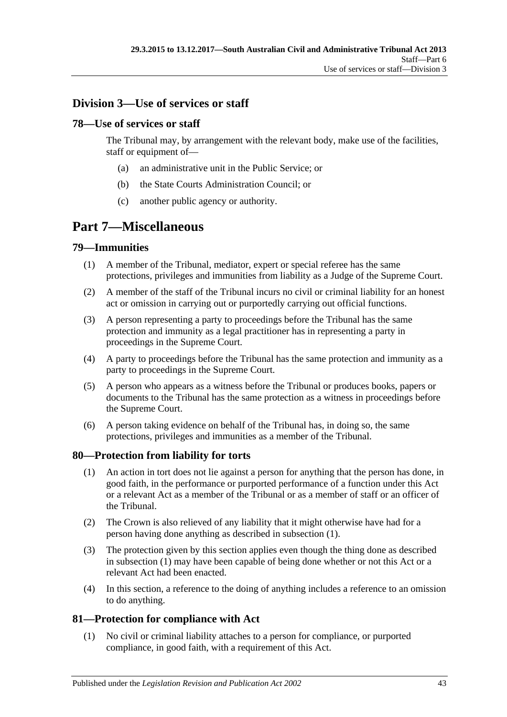## <span id="page-42-0"></span>**Division 3—Use of services or staff**

## <span id="page-42-1"></span>**78—Use of services or staff**

The Tribunal may, by arrangement with the relevant body, make use of the facilities, staff or equipment of—

- (a) an administrative unit in the Public Service; or
- (b) the State Courts Administration Council; or
- (c) another public agency or authority.

# <span id="page-42-2"></span>**Part 7—Miscellaneous**

## <span id="page-42-3"></span>**79—Immunities**

- (1) A member of the Tribunal, mediator, expert or special referee has the same protections, privileges and immunities from liability as a Judge of the Supreme Court.
- (2) A member of the staff of the Tribunal incurs no civil or criminal liability for an honest act or omission in carrying out or purportedly carrying out official functions.
- (3) A person representing a party to proceedings before the Tribunal has the same protection and immunity as a legal practitioner has in representing a party in proceedings in the Supreme Court.
- (4) A party to proceedings before the Tribunal has the same protection and immunity as a party to proceedings in the Supreme Court.
- (5) A person who appears as a witness before the Tribunal or produces books, papers or documents to the Tribunal has the same protection as a witness in proceedings before the Supreme Court.
- (6) A person taking evidence on behalf of the Tribunal has, in doing so, the same protections, privileges and immunities as a member of the Tribunal.

## <span id="page-42-6"></span><span id="page-42-4"></span>**80—Protection from liability for torts**

- (1) An action in tort does not lie against a person for anything that the person has done, in good faith, in the performance or purported performance of a function under this Act or a relevant Act as a member of the Tribunal or as a member of staff or an officer of the Tribunal.
- (2) The Crown is also relieved of any liability that it might otherwise have had for a person having done anything as described in [subsection](#page-42-6) (1).
- (3) The protection given by this section applies even though the thing done as described in [subsection](#page-42-6) (1) may have been capable of being done whether or not this Act or a relevant Act had been enacted.
- (4) In this section, a reference to the doing of anything includes a reference to an omission to do anything.

## <span id="page-42-5"></span>**81—Protection for compliance with Act**

(1) No civil or criminal liability attaches to a person for compliance, or purported compliance, in good faith, with a requirement of this Act.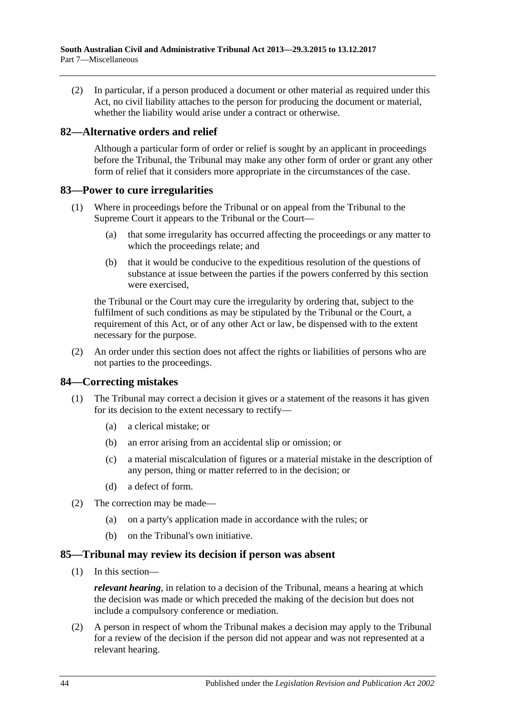(2) In particular, if a person produced a document or other material as required under this Act, no civil liability attaches to the person for producing the document or material, whether the liability would arise under a contract or otherwise.

### <span id="page-43-0"></span>**82—Alternative orders and relief**

Although a particular form of order or relief is sought by an applicant in proceedings before the Tribunal, the Tribunal may make any other form of order or grant any other form of relief that it considers more appropriate in the circumstances of the case.

#### <span id="page-43-1"></span>**83—Power to cure irregularities**

- (1) Where in proceedings before the Tribunal or on appeal from the Tribunal to the Supreme Court it appears to the Tribunal or the Court—
	- (a) that some irregularity has occurred affecting the proceedings or any matter to which the proceedings relate; and
	- (b) that it would be conducive to the expeditious resolution of the questions of substance at issue between the parties if the powers conferred by this section were exercised,

the Tribunal or the Court may cure the irregularity by ordering that, subject to the fulfilment of such conditions as may be stipulated by the Tribunal or the Court, a requirement of this Act, or of any other Act or law, be dispensed with to the extent necessary for the purpose.

(2) An order under this section does not affect the rights or liabilities of persons who are not parties to the proceedings.

## <span id="page-43-2"></span>**84—Correcting mistakes**

- (1) The Tribunal may correct a decision it gives or a statement of the reasons it has given for its decision to the extent necessary to rectify—
	- (a) a clerical mistake; or
	- (b) an error arising from an accidental slip or omission; or
	- (c) a material miscalculation of figures or a material mistake in the description of any person, thing or matter referred to in the decision; or
	- (d) a defect of form.
- (2) The correction may be made—
	- (a) on a party's application made in accordance with the rules; or
	- (b) on the Tribunal's own initiative.

#### <span id="page-43-3"></span>**85—Tribunal may review its decision if person was absent**

(1) In this section—

*relevant hearing*, in relation to a decision of the Tribunal, means a hearing at which the decision was made or which preceded the making of the decision but does not include a compulsory conference or mediation.

(2) A person in respect of whom the Tribunal makes a decision may apply to the Tribunal for a review of the decision if the person did not appear and was not represented at a relevant hearing.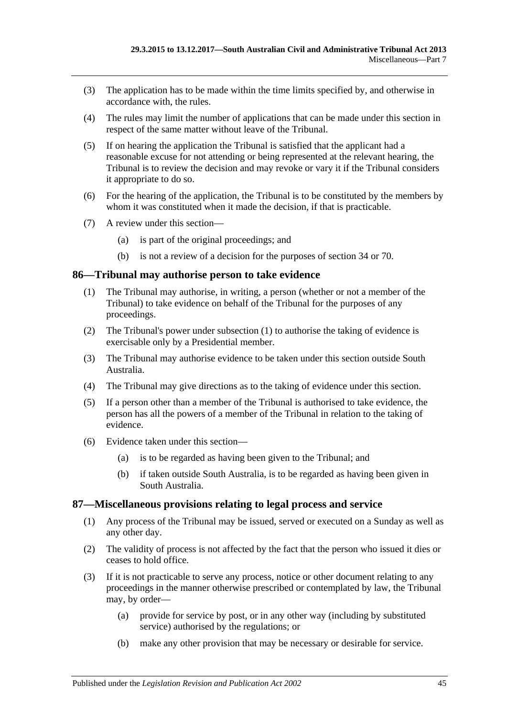- (3) The application has to be made within the time limits specified by, and otherwise in accordance with, the rules.
- (4) The rules may limit the number of applications that can be made under this section in respect of the same matter without leave of the Tribunal.
- (5) If on hearing the application the Tribunal is satisfied that the applicant had a reasonable excuse for not attending or being represented at the relevant hearing, the Tribunal is to review the decision and may revoke or vary it if the Tribunal considers it appropriate to do so.
- (6) For the hearing of the application, the Tribunal is to be constituted by the members by whom it was constituted when it made the decision, if that is practicable.
- (7) A review under this section—
	- (a) is part of the original proceedings; and
	- (b) is not a review of a decision for the purposes of [section](#page-21-3) 34 or [70.](#page-37-6)

#### <span id="page-44-2"></span><span id="page-44-0"></span>**86—Tribunal may authorise person to take evidence**

- (1) The Tribunal may authorise, in writing, a person (whether or not a member of the Tribunal) to take evidence on behalf of the Tribunal for the purposes of any proceedings.
- (2) The Tribunal's power under [subsection](#page-44-2) (1) to authorise the taking of evidence is exercisable only by a Presidential member.
- (3) The Tribunal may authorise evidence to be taken under this section outside South Australia.
- (4) The Tribunal may give directions as to the taking of evidence under this section.
- (5) If a person other than a member of the Tribunal is authorised to take evidence, the person has all the powers of a member of the Tribunal in relation to the taking of evidence.
- (6) Evidence taken under this section—
	- (a) is to be regarded as having been given to the Tribunal; and
	- (b) if taken outside South Australia, is to be regarded as having been given in South Australia.

#### <span id="page-44-1"></span>**87—Miscellaneous provisions relating to legal process and service**

- (1) Any process of the Tribunal may be issued, served or executed on a Sunday as well as any other day.
- (2) The validity of process is not affected by the fact that the person who issued it dies or ceases to hold office.
- <span id="page-44-3"></span>(3) If it is not practicable to serve any process, notice or other document relating to any proceedings in the manner otherwise prescribed or contemplated by law, the Tribunal may, by order—
	- (a) provide for service by post, or in any other way (including by substituted service) authorised by the regulations; or
	- (b) make any other provision that may be necessary or desirable for service.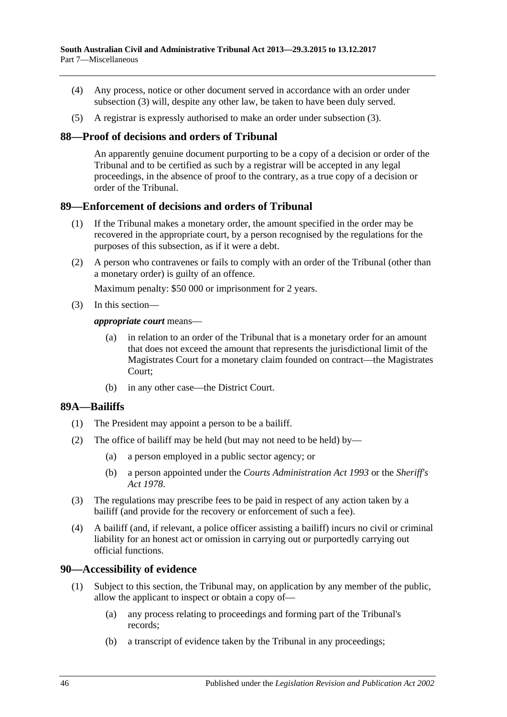- (4) Any process, notice or other document served in accordance with an order under [subsection](#page-44-3) (3) will, despite any other law, be taken to have been duly served.
- (5) A registrar is expressly authorised to make an order under [subsection](#page-44-3) (3).

### <span id="page-45-0"></span>**88—Proof of decisions and orders of Tribunal**

An apparently genuine document purporting to be a copy of a decision or order of the Tribunal and to be certified as such by a registrar will be accepted in any legal proceedings, in the absence of proof to the contrary, as a true copy of a decision or order of the Tribunal.

#### <span id="page-45-1"></span>**89—Enforcement of decisions and orders of Tribunal**

- (1) If the Tribunal makes a monetary order, the amount specified in the order may be recovered in the appropriate court, by a person recognised by the regulations for the purposes of this subsection, as if it were a debt.
- (2) A person who contravenes or fails to comply with an order of the Tribunal (other than a monetary order) is guilty of an offence.

Maximum penalty: \$50 000 or imprisonment for 2 years.

(3) In this section—

#### *appropriate court* means—

- (a) in relation to an order of the Tribunal that is a monetary order for an amount that does not exceed the amount that represents the jurisdictional limit of the Magistrates Court for a monetary claim founded on contract—the Magistrates Court;
- (b) in any other case—the District Court.

## <span id="page-45-2"></span>**89A—Bailiffs**

- (1) The President may appoint a person to be a bailiff.
- (2) The office of bailiff may be held (but may not need to be held) by—
	- (a) a person employed in a public sector agency; or
	- (b) a person appointed under the *[Courts Administration Act](http://www.legislation.sa.gov.au/index.aspx?action=legref&type=act&legtitle=Courts%20Administration%20Act%201993) 1993* or the *[Sheriff's](http://www.legislation.sa.gov.au/index.aspx?action=legref&type=act&legtitle=Sheriffs%20Act%201978)  Act [1978](http://www.legislation.sa.gov.au/index.aspx?action=legref&type=act&legtitle=Sheriffs%20Act%201978)*.
- (3) The regulations may prescribe fees to be paid in respect of any action taken by a bailiff (and provide for the recovery or enforcement of such a fee).
- (4) A bailiff (and, if relevant, a police officer assisting a bailiff) incurs no civil or criminal liability for an honest act or omission in carrying out or purportedly carrying out official functions.

#### <span id="page-45-4"></span><span id="page-45-3"></span>**90—Accessibility of evidence**

- (1) Subject to this section, the Tribunal may, on application by any member of the public, allow the applicant to inspect or obtain a copy of—
	- (a) any process relating to proceedings and forming part of the Tribunal's records;
	- (b) a transcript of evidence taken by the Tribunal in any proceedings;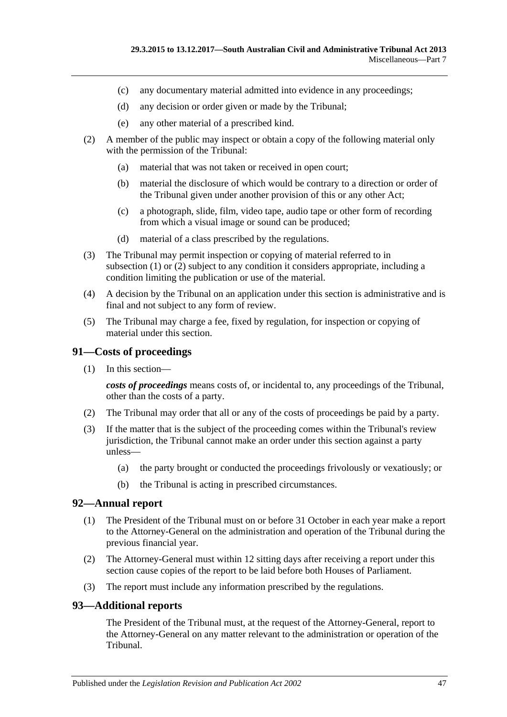- (c) any documentary material admitted into evidence in any proceedings;
- (d) any decision or order given or made by the Tribunal;
- (e) any other material of a prescribed kind.
- <span id="page-46-3"></span>(2) A member of the public may inspect or obtain a copy of the following material only with the permission of the Tribunal:
	- (a) material that was not taken or received in open court;
	- (b) material the disclosure of which would be contrary to a direction or order of the Tribunal given under another provision of this or any other Act;
	- (c) a photograph, slide, film, video tape, audio tape or other form of recording from which a visual image or sound can be produced;
	- (d) material of a class prescribed by the regulations.
- (3) The Tribunal may permit inspection or copying of material referred to in [subsection](#page-45-4)  $(1)$  or  $(2)$  subject to any condition it considers appropriate, including a condition limiting the publication or use of the material.
- (4) A decision by the Tribunal on an application under this section is administrative and is final and not subject to any form of review.
- (5) The Tribunal may charge a fee, fixed by regulation, for inspection or copying of material under this section.

### <span id="page-46-0"></span>**91—Costs of proceedings**

(1) In this section—

*costs of proceedings* means costs of, or incidental to, any proceedings of the Tribunal, other than the costs of a party.

- (2) The Tribunal may order that all or any of the costs of proceedings be paid by a party.
- (3) If the matter that is the subject of the proceeding comes within the Tribunal's review jurisdiction, the Tribunal cannot make an order under this section against a party unless—
	- (a) the party brought or conducted the proceedings frivolously or vexatiously; or
	- (b) the Tribunal is acting in prescribed circumstances.

#### <span id="page-46-1"></span>**92—Annual report**

- (1) The President of the Tribunal must on or before 31 October in each year make a report to the Attorney-General on the administration and operation of the Tribunal during the previous financial year.
- (2) The Attorney-General must within 12 sitting days after receiving a report under this section cause copies of the report to be laid before both Houses of Parliament.
- (3) The report must include any information prescribed by the regulations.

#### <span id="page-46-2"></span>**93—Additional reports**

The President of the Tribunal must, at the request of the Attorney-General, report to the Attorney-General on any matter relevant to the administration or operation of the Tribunal.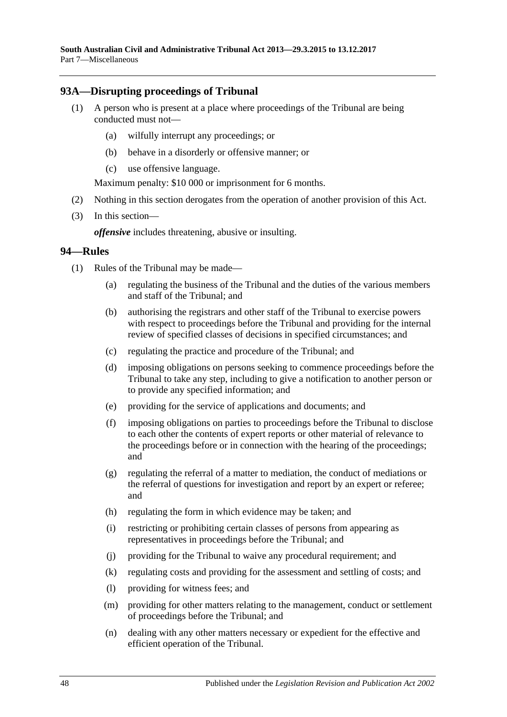## <span id="page-47-0"></span>**93A—Disrupting proceedings of Tribunal**

- (1) A person who is present at a place where proceedings of the Tribunal are being conducted must not—
	- (a) wilfully interrupt any proceedings; or
	- (b) behave in a disorderly or offensive manner; or
	- (c) use offensive language.

Maximum penalty: \$10 000 or imprisonment for 6 months.

- (2) Nothing in this section derogates from the operation of another provision of this Act.
- (3) In this section—

*offensive* includes threatening, abusive or insulting.

#### <span id="page-47-1"></span>**94—Rules**

- (1) Rules of the Tribunal may be made—
	- (a) regulating the business of the Tribunal and the duties of the various members and staff of the Tribunal; and
	- (b) authorising the registrars and other staff of the Tribunal to exercise powers with respect to proceedings before the Tribunal and providing for the internal review of specified classes of decisions in specified circumstances; and
	- (c) regulating the practice and procedure of the Tribunal; and
	- (d) imposing obligations on persons seeking to commence proceedings before the Tribunal to take any step, including to give a notification to another person or to provide any specified information; and
	- (e) providing for the service of applications and documents; and
	- (f) imposing obligations on parties to proceedings before the Tribunal to disclose to each other the contents of expert reports or other material of relevance to the proceedings before or in connection with the hearing of the proceedings; and
	- (g) regulating the referral of a matter to mediation, the conduct of mediations or the referral of questions for investigation and report by an expert or referee; and
	- (h) regulating the form in which evidence may be taken; and
	- (i) restricting or prohibiting certain classes of persons from appearing as representatives in proceedings before the Tribunal; and
	- (j) providing for the Tribunal to waive any procedural requirement; and
	- (k) regulating costs and providing for the assessment and settling of costs; and
	- (l) providing for witness fees; and
	- (m) providing for other matters relating to the management, conduct or settlement of proceedings before the Tribunal; and
	- (n) dealing with any other matters necessary or expedient for the effective and efficient operation of the Tribunal.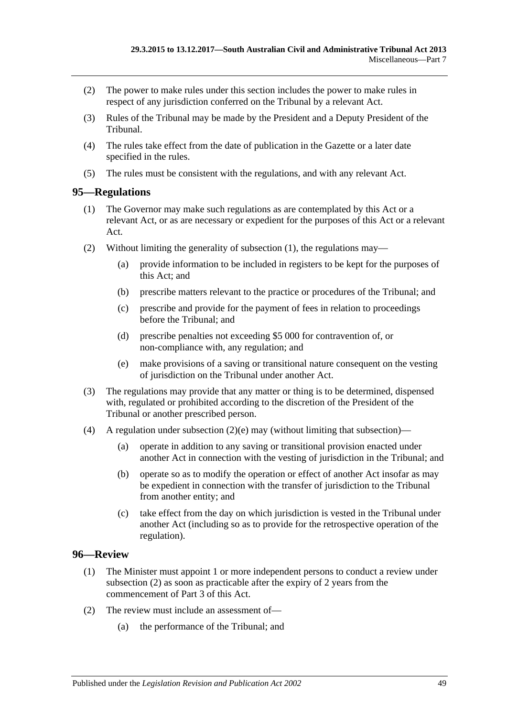- (2) The power to make rules under this section includes the power to make rules in respect of any jurisdiction conferred on the Tribunal by a relevant Act.
- (3) Rules of the Tribunal may be made by the President and a Deputy President of the Tribunal.
- (4) The rules take effect from the date of publication in the Gazette or a later date specified in the rules.
- (5) The rules must be consistent with the regulations, and with any relevant Act.

## <span id="page-48-2"></span><span id="page-48-0"></span>**95—Regulations**

- (1) The Governor may make such regulations as are contemplated by this Act or a relevant Act, or as are necessary or expedient for the purposes of this Act or a relevant Act.
- (2) Without limiting the generality of [subsection](#page-48-2) (1), the regulations may—
	- (a) provide information to be included in registers to be kept for the purposes of this Act; and
	- (b) prescribe matters relevant to the practice or procedures of the Tribunal; and
	- (c) prescribe and provide for the payment of fees in relation to proceedings before the Tribunal; and
	- (d) prescribe penalties not exceeding \$5 000 for contravention of, or non-compliance with, any regulation; and
	- (e) make provisions of a saving or transitional nature consequent on the vesting of jurisdiction on the Tribunal under another Act.
- <span id="page-48-3"></span>(3) The regulations may provide that any matter or thing is to be determined, dispensed with, regulated or prohibited according to the discretion of the President of the Tribunal or another prescribed person.
- (4) A regulation under [subsection](#page-48-3)  $(2)(e)$  may (without limiting that subsection)—
	- (a) operate in addition to any saving or transitional provision enacted under another Act in connection with the vesting of jurisdiction in the Tribunal; and
	- (b) operate so as to modify the operation or effect of another Act insofar as may be expedient in connection with the transfer of jurisdiction to the Tribunal from another entity; and
	- (c) take effect from the day on which jurisdiction is vested in the Tribunal under another Act (including so as to provide for the retrospective operation of the regulation).

## <span id="page-48-1"></span>**96—Review**

- (1) The Minister must appoint 1 or more independent persons to conduct a review under [subsection](#page-48-4) (2) as soon as practicable after the expiry of 2 years from the commencement of [Part](#page-20-1) 3 of this Act.
- <span id="page-48-5"></span><span id="page-48-4"></span>(2) The review must include an assessment of—
	- (a) the performance of the Tribunal; and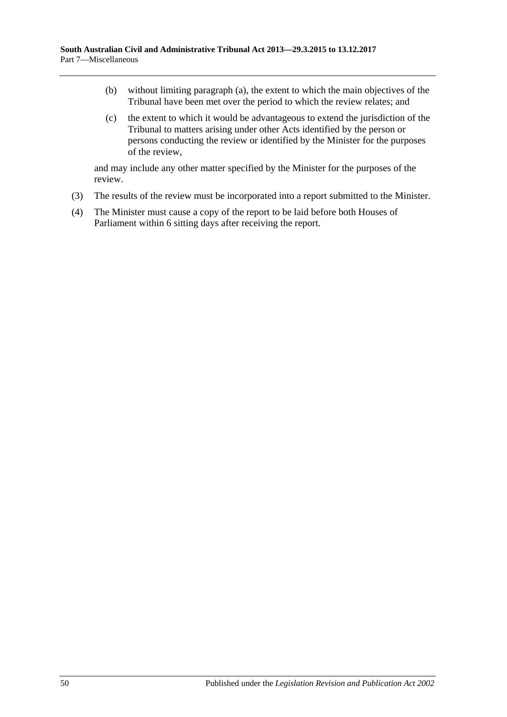- (b) without limiting [paragraph](#page-48-5) (a), the extent to which the main objectives of the Tribunal have been met over the period to which the review relates; and
- (c) the extent to which it would be advantageous to extend the jurisdiction of the Tribunal to matters arising under other Acts identified by the person or persons conducting the review or identified by the Minister for the purposes of the review,

and may include any other matter specified by the Minister for the purposes of the review.

- (3) The results of the review must be incorporated into a report submitted to the Minister.
- (4) The Minister must cause a copy of the report to be laid before both Houses of Parliament within 6 sitting days after receiving the report.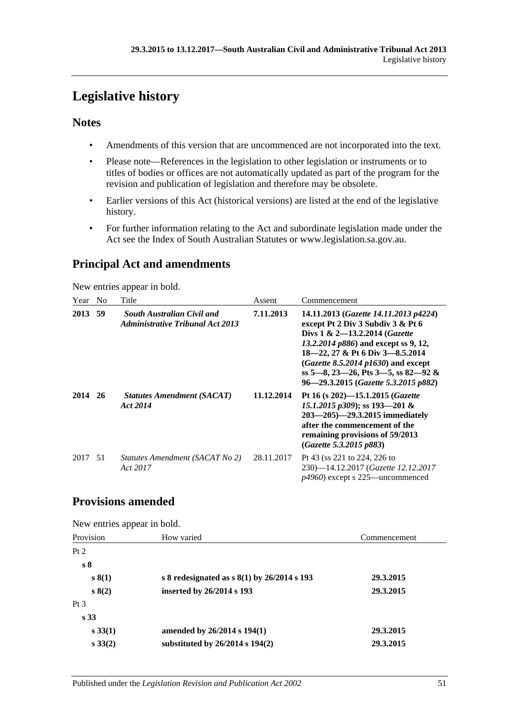# <span id="page-50-0"></span>**Legislative history**

## **Notes**

- Amendments of this version that are uncommenced are not incorporated into the text.
- Please note—References in the legislation to other legislation or instruments or to titles of bodies or offices are not automatically updated as part of the program for the revision and publication of legislation and therefore may be obsolete.
- Earlier versions of this Act (historical versions) are listed at the end of the legislative history.
- For further information relating to the Act and subordinate legislation made under the Act see the Index of South Australian Statutes or www.legislation.sa.gov.au.

## **Principal Act and amendments**

New entries appear in bold.

| Year | No | Title                                                                        | Assent     | Commencement                                                                                                                                                                                                                                                                                                       |
|------|----|------------------------------------------------------------------------------|------------|--------------------------------------------------------------------------------------------------------------------------------------------------------------------------------------------------------------------------------------------------------------------------------------------------------------------|
| 2013 | 59 | <b>South Australian Civil and</b><br><b>Administrative Tribunal Act 2013</b> | 7.11.2013  | 14.11.2013 (Gazette 14.11.2013 p4224)<br>except Pt 2 Div 3 Subdiv 3 & Pt 6<br>Divs $1 \& 2 - 13.2.2014$ (Gazette<br>13.2.2014 p886) and except ss 9, 12,<br>18-22, 27 & Pt 6 Div 3-8.5.2014<br>$(Gazette 8.5.2014 p1630)$ and except<br>ss 5—8, 23—26, Pts 3—5, ss 82—92 &<br>96-29.3.2015 (Gazette 5.3.2015 p882) |
| 2014 | 26 | <b>Statutes Amendment (SACAT)</b><br>Act 2014                                | 11.12.2014 | Pt 16 (s 202)-15.1.2015 ( <i>Gazette</i><br>15.1.2015 p309); ss 193-201 &<br>$203 - 205$ – 29.3.2015 immediately<br>after the commencement of the<br>remaining provisions of 59/2013<br>(Gazette 5.3.2015 p883)                                                                                                    |
| 2017 | 51 | Statutes Amendment (SACAT No 2)<br>Act 2017                                  | 28.11.2017 | Pt 43 (ss 221 to 224, 226 to<br>230)-14.12.2017 (Gazette 12.12.2017<br>$p4960$ ) except s 225—uncommenced                                                                                                                                                                                                          |

## **Provisions amended**

New entries appear in bold.

| Provision       | How varied                                  | Commencement |
|-----------------|---------------------------------------------|--------------|
| Pt 2            |                                             |              |
| s <sub>8</sub>  |                                             |              |
| s(1)            | s 8 redesignated as $s(1)$ by 26/2014 s 193 | 29.3.2015    |
| s(2)            | inserted by 26/2014 s 193                   | 29.3.2015    |
| Pt <sub>3</sub> |                                             |              |
| s <sub>33</sub> |                                             |              |
| $s\,33(1)$      | amended by $26/2014$ s $194(1)$             | 29.3.2015    |
| $s\,33(2)$      | substituted by $26/2014$ s $194(2)$         | 29.3.2015    |